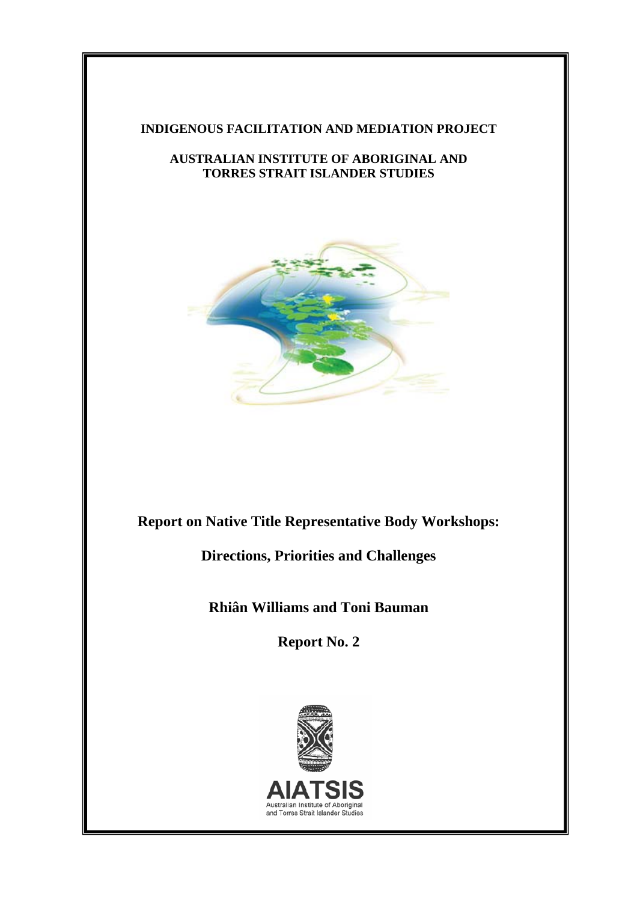### **INDIGENOUS FACILITATION AND MEDIATION PROJECT**

### **AUSTRALIAN INSTITUTE OF ABORIGINAL AND TORRES STRAIT ISLANDER STUDIES**



# **Report on Native Title Representative Body Workshops:**

**Directions, Priorities and Challenges** 

**Rhiân Williams and Toni Bauman** 

**Report No. 2** 

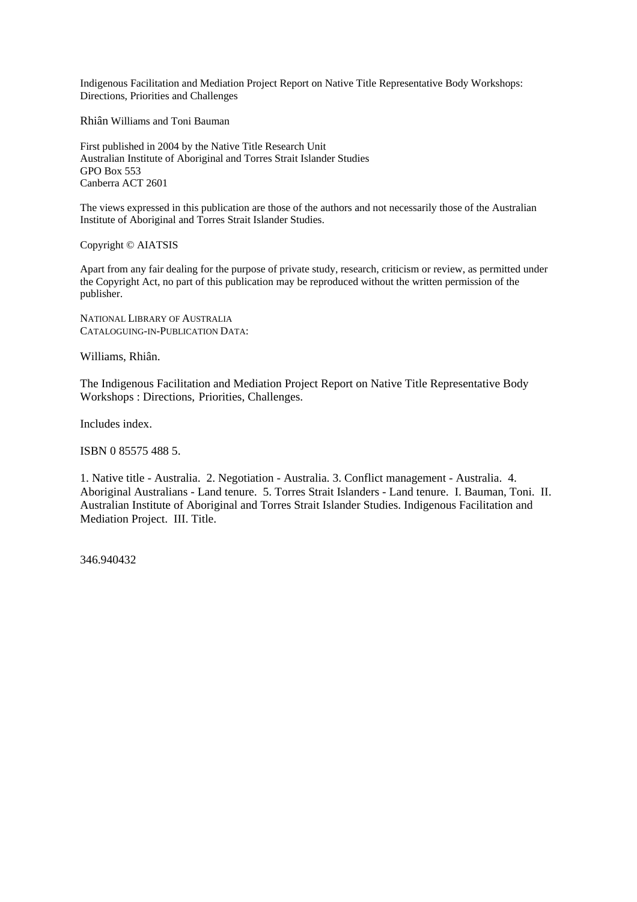Indigenous Facilitation and Mediation Project Report on Native Title Representative Body Workshops: Directions, Priorities and Challenges

Rhiân Williams and Toni Bauman

First published in 2004 by the Native Title Research Unit Australian Institute of Aboriginal and Torres Strait Islander Studies GPO Box 553 Canberra ACT 2601

The views expressed in this publication are those of the authors and not necessarily those of the Australian Institute of Aboriginal and Torres Strait Islander Studies.

Copyright © AIATSIS

Apart from any fair dealing for the purpose of private study, research, criticism or review, as permitted under the Copyright Act, no part of this publication may be reproduced without the written permission of the publisher.

NATIONAL LIBRARY OF AUSTRALIA CATALOGUING-IN-PUBLICATION DATA:

Williams, Rhiân.

The Indigenous Facilitation and Mediation Project Report on Native Title Representative Body Workshops : Directions, Priorities, Challenges.

Includes index.

ISBN 0 85575 488 5.

1. Native title - Australia. 2. Negotiation - Australia. 3. Conflict management - Australia. 4. Aboriginal Australians - Land tenure. 5. Torres Strait Islanders - Land tenure. I. Bauman, Toni. II. Australian Institute of Aboriginal and Torres Strait Islander Studies. Indigenous Facilitation and Mediation Project. III. Title.

346.940432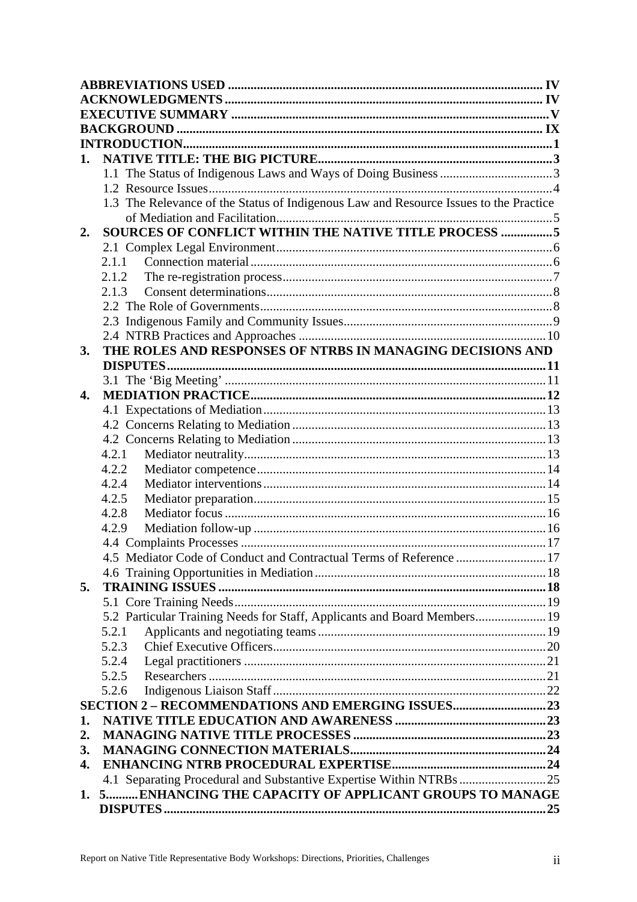| 1.           |                                                                                       |  |  |  |
|--------------|---------------------------------------------------------------------------------------|--|--|--|
|              |                                                                                       |  |  |  |
|              |                                                                                       |  |  |  |
|              | 1.3 The Relevance of the Status of Indigenous Law and Resource Issues to the Practice |  |  |  |
|              |                                                                                       |  |  |  |
| 2.           | SOURCES OF CONFLICT WITHIN THE NATIVE TITLE PROCESS 5                                 |  |  |  |
|              |                                                                                       |  |  |  |
|              | 2.1.1                                                                                 |  |  |  |
|              | 2.1.2                                                                                 |  |  |  |
|              | 2.1.3                                                                                 |  |  |  |
|              |                                                                                       |  |  |  |
|              |                                                                                       |  |  |  |
|              |                                                                                       |  |  |  |
| 3.           | THE ROLES AND RESPONSES OF NTRBS IN MANAGING DECISIONS AND                            |  |  |  |
|              |                                                                                       |  |  |  |
|              |                                                                                       |  |  |  |
| $\mathbf{4}$ |                                                                                       |  |  |  |
|              |                                                                                       |  |  |  |
|              |                                                                                       |  |  |  |
|              |                                                                                       |  |  |  |
|              | 4.2.1                                                                                 |  |  |  |
|              | 4.2.2                                                                                 |  |  |  |
|              | 4.2.4                                                                                 |  |  |  |
|              | 4.2.5                                                                                 |  |  |  |
|              | 4.2.8                                                                                 |  |  |  |
|              | 4.2.9                                                                                 |  |  |  |
|              | 4.5 Mediator Code of Conduct and Contractual Terms of Reference  17                   |  |  |  |
|              |                                                                                       |  |  |  |
| 5.           |                                                                                       |  |  |  |
|              |                                                                                       |  |  |  |
|              | 5.2 Particular Training Needs for Staff, Applicants and Board Members 19              |  |  |  |
|              | 5.2.1                                                                                 |  |  |  |
|              | 5.2.3                                                                                 |  |  |  |
|              | 5.2.4                                                                                 |  |  |  |
|              | 5.2.5                                                                                 |  |  |  |
|              | 5.2.6                                                                                 |  |  |  |
|              |                                                                                       |  |  |  |
| 1.           |                                                                                       |  |  |  |
| 2.           |                                                                                       |  |  |  |
| 3.           |                                                                                       |  |  |  |
| 4.           |                                                                                       |  |  |  |
|              | 4.1 Separating Procedural and Substantive Expertise Within NTRBs 25                   |  |  |  |
| 1.           | 5 ENHANCING THE CAPACITY OF APPLICANT GROUPS TO MANAGE                                |  |  |  |
|              |                                                                                       |  |  |  |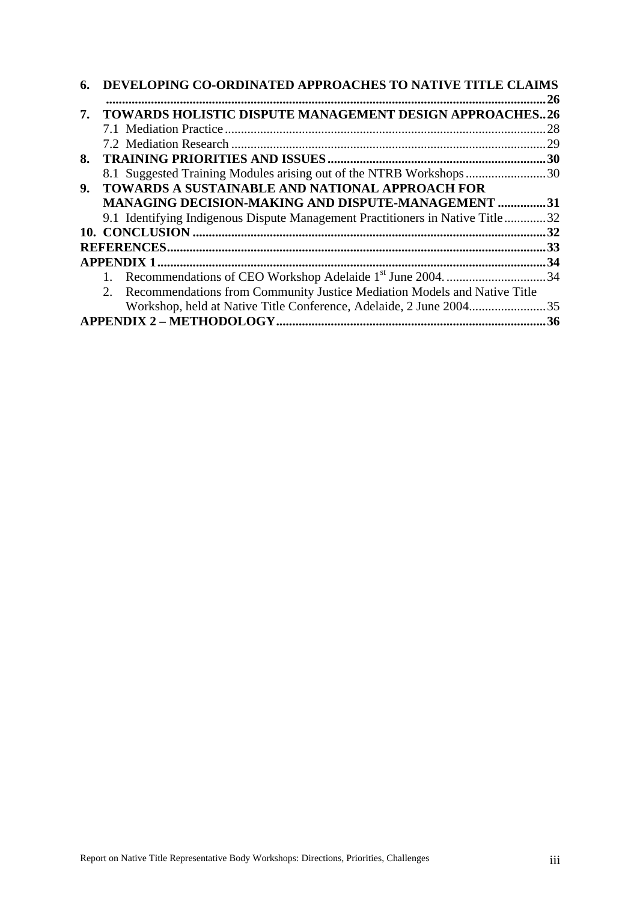|     | <b>DEVELOPING CO-ORDINATED APPROACHES TO NATIVE TITLE CLAIMS</b>               |     |  |  |  |
|-----|--------------------------------------------------------------------------------|-----|--|--|--|
|     |                                                                                | .26 |  |  |  |
| 7.  | <b>TOWARDS HOLISTIC DISPUTE MANAGEMENT DESIGN APPROACHES26</b>                 |     |  |  |  |
|     |                                                                                | 28  |  |  |  |
|     |                                                                                | 29  |  |  |  |
| 8.  |                                                                                | .30 |  |  |  |
|     | 8.1 Suggested Training Modules arising out of the NTRB Workshops30             |     |  |  |  |
| 9.  | TOWARDS A SUSTAINABLE AND NATIONAL APPROACH FOR                                |     |  |  |  |
|     | <b>MANAGING DECISION-MAKING AND DISPUTE-MANAGEMENT </b>                        | .31 |  |  |  |
|     | 9.1 Identifying Indigenous Dispute Management Practitioners in Native Title32  |     |  |  |  |
|     |                                                                                | 32  |  |  |  |
|     | .33                                                                            |     |  |  |  |
| .34 |                                                                                |     |  |  |  |
|     |                                                                                |     |  |  |  |
|     | Recommendations from Community Justice Mediation Models and Native Title<br>2. |     |  |  |  |
|     | Workshop, held at Native Title Conference, Adelaide, 2 June 2004               | 35  |  |  |  |
|     |                                                                                | 36  |  |  |  |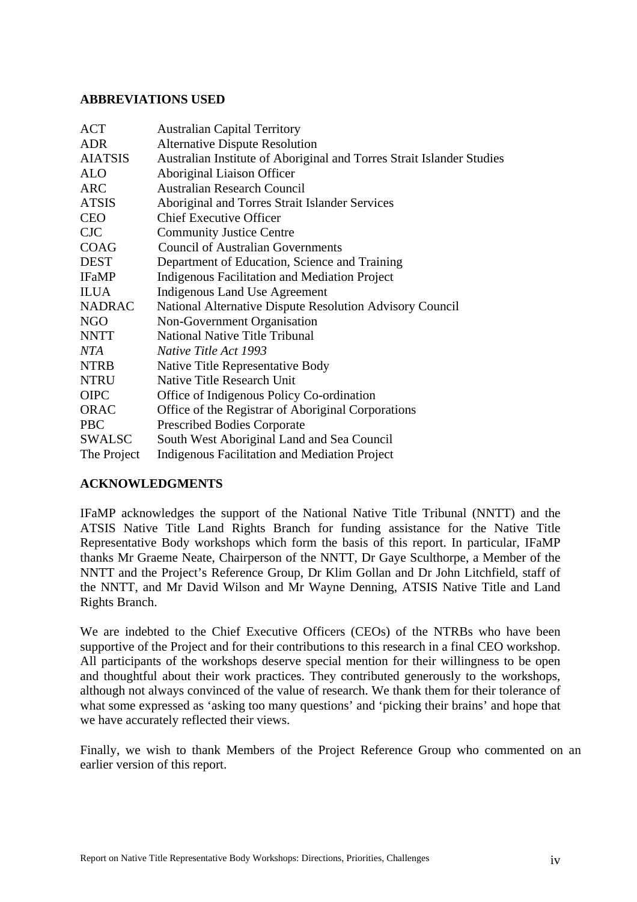#### <span id="page-4-0"></span>**ABBREVIATIONS USED**

| ACT            | <b>Australian Capital Territory</b>                                   |
|----------------|-----------------------------------------------------------------------|
| <b>ADR</b>     | <b>Alternative Dispute Resolution</b>                                 |
| <b>AIATSIS</b> | Australian Institute of Aboriginal and Torres Strait Islander Studies |
| <b>ALO</b>     | Aboriginal Liaison Officer                                            |
| <b>ARC</b>     | <b>Australian Research Council</b>                                    |
| <b>ATSIS</b>   | Aboriginal and Torres Strait Islander Services                        |
| <b>CEO</b>     | <b>Chief Executive Officer</b>                                        |
| $C_{\rm JC}$   | <b>Community Justice Centre</b>                                       |
| <b>COAG</b>    | <b>Council of Australian Governments</b>                              |
| <b>DEST</b>    | Department of Education, Science and Training                         |
| <b>IFaMP</b>   | Indigenous Facilitation and Mediation Project                         |
| <b>ILUA</b>    | Indigenous Land Use Agreement                                         |
| <b>NADRAC</b>  | National Alternative Dispute Resolution Advisory Council              |
| NGO            | Non-Government Organisation                                           |
| <b>NNTT</b>    | <b>National Native Title Tribunal</b>                                 |
| <b>NTA</b>     | <i>Native Title Act 1993</i>                                          |
| <b>NTRB</b>    | Native Title Representative Body                                      |
| <b>NTRU</b>    | Native Title Research Unit                                            |
| <b>OIPC</b>    | Office of Indigenous Policy Co-ordination                             |
| <b>ORAC</b>    | Office of the Registrar of Aboriginal Corporations                    |
| <b>PBC</b>     | <b>Prescribed Bodies Corporate</b>                                    |
| <b>SWALSC</b>  | South West Aboriginal Land and Sea Council                            |
| The Project    | Indigenous Facilitation and Mediation Project                         |

#### **ACKNOWLEDGMENTS**

IFaMP acknowledges the support of the National Native Title Tribunal (NNTT) and the ATSIS Native Title Land Rights Branch for funding assistance for the Native Title Representative Body workshops which form the basis of this report. In particular, IFaMP thanks Mr Graeme Neate, Chairperson of the NNTT, Dr Gaye Sculthorpe, a Member of the NNTT and the Project's Reference Group, Dr Klim Gollan and Dr John Litchfield, staff of the NNTT, and Mr David Wilson and Mr Wayne Denning, ATSIS Native Title and Land Rights Branch.

We are indebted to the Chief Executive Officers (CEOs) of the NTRBs who have been supportive of the Project and for their contributions to this research in a final CEO workshop. All participants of the workshops deserve special mention for their willingness to be open and thoughtful about their work practices. They contributed generously to the workshops, although not always convinced of the value of research. We thank them for their tolerance of what some expressed as 'asking too many questions' and 'picking their brains' and hope that we have accurately reflected their views.

Finally, we wish to thank Members of the Project Reference Group who commented on an earlier version of this report.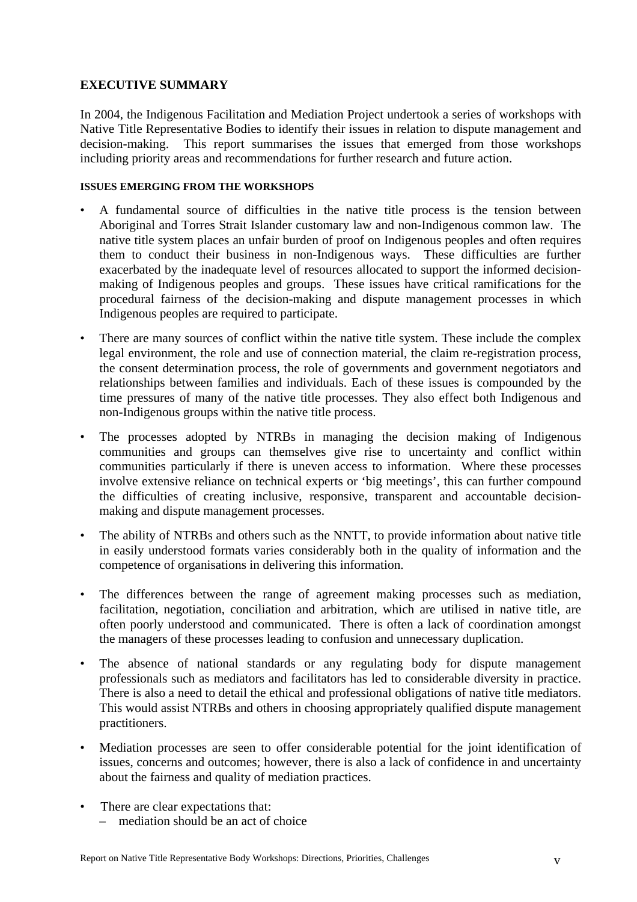## <span id="page-5-0"></span>**EXECUTIVE SUMMARY**

In 2004, the Indigenous Facilitation and Mediation Project undertook a series of workshops with Native Title Representative Bodies to identify their issues in relation to dispute management and decision-making. This report summarises the issues that emerged from those workshops including priority areas and recommendations for further research and future action.

#### **ISSUES EMERGING FROM THE WORKSHOPS**

- A fundamental source of difficulties in the native title process is the tension between Aboriginal and Torres Strait Islander customary law and non-Indigenous common law. The native title system places an unfair burden of proof on Indigenous peoples and often requires them to conduct their business in non-Indigenous ways. These difficulties are further exacerbated by the inadequate level of resources allocated to support the informed decisionmaking of Indigenous peoples and groups. These issues have critical ramifications for the procedural fairness of the decision-making and dispute management processes in which Indigenous peoples are required to participate.
- There are many sources of conflict within the native title system. These include the complex legal environment, the role and use of connection material, the claim re-registration process, the consent determination process, the role of governments and government negotiators and relationships between families and individuals. Each of these issues is compounded by the time pressures of many of the native title processes. They also effect both Indigenous and non-Indigenous groups within the native title process.
- The processes adopted by NTRBs in managing the decision making of Indigenous communities and groups can themselves give rise to uncertainty and conflict within communities particularly if there is uneven access to information. Where these processes involve extensive reliance on technical experts or 'big meetings', this can further compound the difficulties of creating inclusive, responsive, transparent and accountable decisionmaking and dispute management processes.
- The ability of NTRBs and others such as the NNTT, to provide information about native title in easily understood formats varies considerably both in the quality of information and the competence of organisations in delivering this information.
- The differences between the range of agreement making processes such as mediation, facilitation, negotiation, conciliation and arbitration, which are utilised in native title, are often poorly understood and communicated. There is often a lack of coordination amongst the managers of these processes leading to confusion and unnecessary duplication.
- The absence of national standards or any regulating body for dispute management professionals such as mediators and facilitators has led to considerable diversity in practice. There is also a need to detail the ethical and professional obligations of native title mediators. This would assist NTRBs and others in choosing appropriately qualified dispute management practitioners.
- Mediation processes are seen to offer considerable potential for the joint identification of issues, concerns and outcomes; however, there is also a lack of confidence in and uncertainty about the fairness and quality of mediation practices.
- There are clear expectations that: – mediation should be an act of choice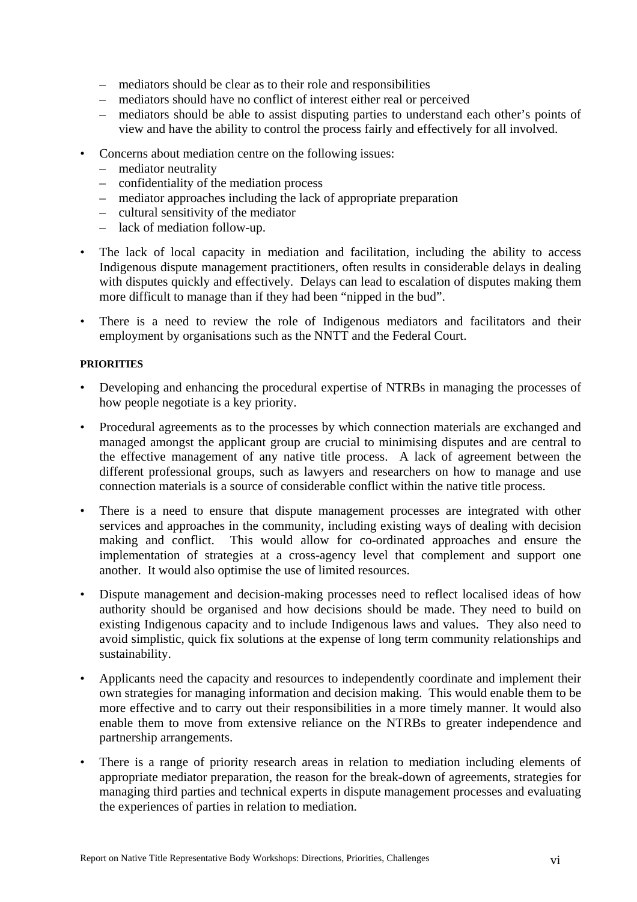- mediators should be clear as to their role and responsibilities
- mediators should have no conflict of interest either real or perceived
- mediators should be able to assist disputing parties to understand each other's points of view and have the ability to control the process fairly and effectively for all involved.
- Concerns about mediation centre on the following issues:
	- mediator neutrality
	- confidentiality of the mediation process
	- mediator approaches including the lack of appropriate preparation
	- cultural sensitivity of the mediator
	- lack of mediation follow-up.
- The lack of local capacity in mediation and facilitation, including the ability to access Indigenous dispute management practitioners, often results in considerable delays in dealing with disputes quickly and effectively. Delays can lead to escalation of disputes making them more difficult to manage than if they had been "nipped in the bud".
- There is a need to review the role of Indigenous mediators and facilitators and their employment by organisations such as the NNTT and the Federal Court.

#### **PRIORITIES**

- Developing and enhancing the procedural expertise of NTRBs in managing the processes of how people negotiate is a key priority.
- Procedural agreements as to the processes by which connection materials are exchanged and managed amongst the applicant group are crucial to minimising disputes and are central to the effective management of any native title process. A lack of agreement between the different professional groups, such as lawyers and researchers on how to manage and use connection materials is a source of considerable conflict within the native title process.
- There is a need to ensure that dispute management processes are integrated with other services and approaches in the community, including existing ways of dealing with decision making and conflict. This would allow for co-ordinated approaches and ensure the implementation of strategies at a cross-agency level that complement and support one another. It would also optimise the use of limited resources.
- Dispute management and decision-making processes need to reflect localised ideas of how authority should be organised and how decisions should be made. They need to build on existing Indigenous capacity and to include Indigenous laws and values. They also need to avoid simplistic, quick fix solutions at the expense of long term community relationships and sustainability.
- Applicants need the capacity and resources to independently coordinate and implement their own strategies for managing information and decision making. This would enable them to be more effective and to carry out their responsibilities in a more timely manner. It would also enable them to move from extensive reliance on the NTRBs to greater independence and partnership arrangements.
- There is a range of priority research areas in relation to mediation including elements of appropriate mediator preparation, the reason for the break-down of agreements, strategies for managing third parties and technical experts in dispute management processes and evaluating the experiences of parties in relation to mediation.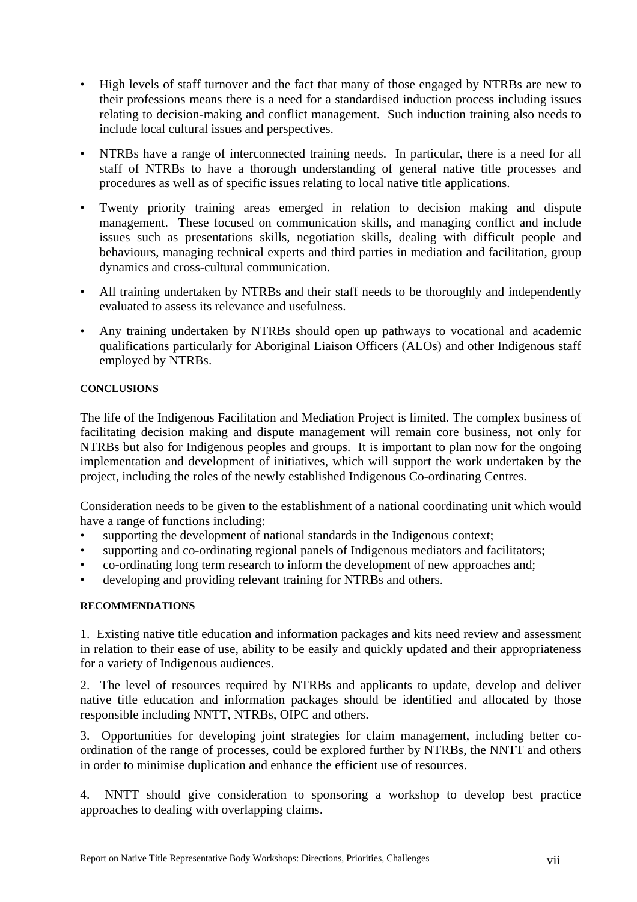- High levels of staff turnover and the fact that many of those engaged by NTRBs are new to their professions means there is a need for a standardised induction process including issues relating to decision-making and conflict management. Such induction training also needs to include local cultural issues and perspectives.
- NTRBs have a range of interconnected training needs. In particular, there is a need for all staff of NTRBs to have a thorough understanding of general native title processes and procedures as well as of specific issues relating to local native title applications.
- Twenty priority training areas emerged in relation to decision making and dispute management. These focused on communication skills, and managing conflict and include issues such as presentations skills, negotiation skills, dealing with difficult people and behaviours, managing technical experts and third parties in mediation and facilitation, group dynamics and cross-cultural communication.
- All training undertaken by NTRBs and their staff needs to be thoroughly and independently evaluated to assess its relevance and usefulness.
- Any training undertaken by NTRBs should open up pathways to vocational and academic qualifications particularly for Aboriginal Liaison Officers (ALOs) and other Indigenous staff employed by NTRBs.

#### **CONCLUSIONS**

The life of the Indigenous Facilitation and Mediation Project is limited. The complex business of facilitating decision making and dispute management will remain core business, not only for NTRBs but also for Indigenous peoples and groups. It is important to plan now for the ongoing implementation and development of initiatives, which will support the work undertaken by the project, including the roles of the newly established Indigenous Co-ordinating Centres.

Consideration needs to be given to the establishment of a national coordinating unit which would have a range of functions including:

- supporting the development of national standards in the Indigenous context;
- supporting and co-ordinating regional panels of Indigenous mediators and facilitators;
- co-ordinating long term research to inform the development of new approaches and;
- developing and providing relevant training for NTRBs and others.

#### **RECOMMENDATIONS**

1. Existing native title education and information packages and kits need review and assessment in relation to their ease of use, ability to be easily and quickly updated and their appropriateness for a variety of Indigenous audiences.

2. The level of resources required by NTRBs and applicants to update, develop and deliver native title education and information packages should be identified and allocated by those responsible including NNTT, NTRBs, OIPC and others.

3. Opportunities for developing joint strategies for claim management, including better coordination of the range of processes, could be explored further by NTRBs, the NNTT and others in order to minimise duplication and enhance the efficient use of resources.

4. NNTT should give consideration to sponsoring a workshop to develop best practice approaches to dealing with overlapping claims.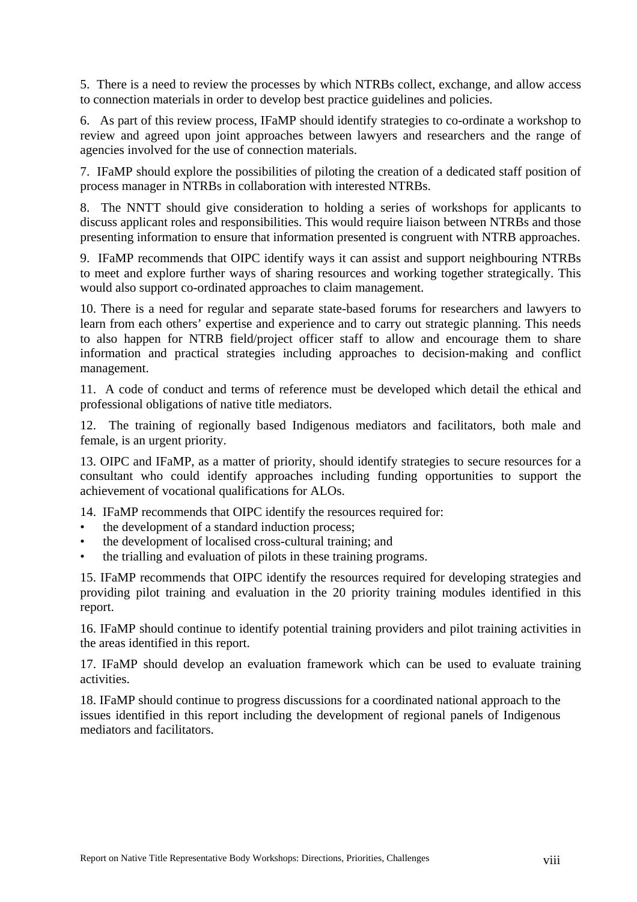5. There is a need to review the processes by which NTRBs collect, exchange, and allow access to connection materials in order to develop best practice guidelines and policies.

6. As part of this review process, IFaMP should identify strategies to co-ordinate a workshop to review and agreed upon joint approaches between lawyers and researchers and the range of agencies involved for the use of connection materials.

7. IFaMP should explore the possibilities of piloting the creation of a dedicated staff position of process manager in NTRBs in collaboration with interested NTRBs.

8. The NNTT should give consideration to holding a series of workshops for applicants to discuss applicant roles and responsibilities. This would require liaison between NTRBs and those presenting information to ensure that information presented is congruent with NTRB approaches.

9. IFaMP recommends that OIPC identify ways it can assist and support neighbouring NTRBs to meet and explore further ways of sharing resources and working together strategically. This would also support co-ordinated approaches to claim management.

10. There is a need for regular and separate state-based forums for researchers and lawyers to learn from each others' expertise and experience and to carry out strategic planning. This needs to also happen for NTRB field/project officer staff to allow and encourage them to share information and practical strategies including approaches to decision-making and conflict management.

11. A code of conduct and terms of reference must be developed which detail the ethical and professional obligations of native title mediators.

12. The training of regionally based Indigenous mediators and facilitators, both male and female, is an urgent priority.

13. OIPC and IFaMP, as a matter of priority, should identify strategies to secure resources for a consultant who could identify approaches including funding opportunities to support the achievement of vocational qualifications for ALOs.

14. IFaMP recommends that OIPC identify the resources required for:

- the development of a standard induction process;
- the development of localised cross-cultural training; and
- the trialling and evaluation of pilots in these training programs.

15. IFaMP recommends that OIPC identify the resources required for developing strategies and providing pilot training and evaluation in the 20 priority training modules identified in this report.

16. IFaMP should continue to identify potential training providers and pilot training activities in the areas identified in this report.

17. IFaMP should develop an evaluation framework which can be used to evaluate training activities.

18. IFaMP should continue to progress discussions for a coordinated national approach to the issues identified in this report including the development of regional panels of Indigenous mediators and facilitators.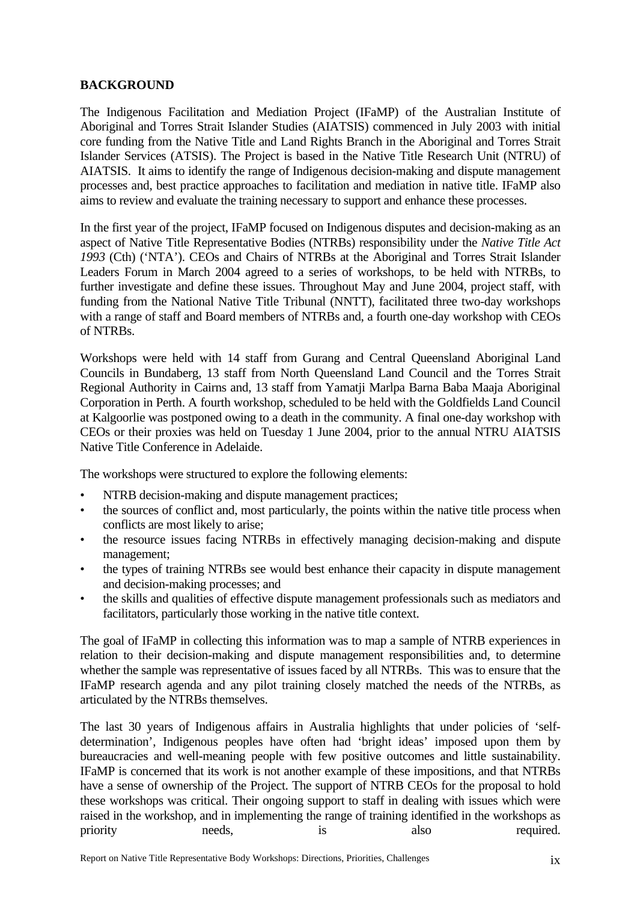## <span id="page-9-0"></span>**BACKGROUND**

The Indigenous Facilitation and Mediation Project (IFaMP) of the Australian Institute of Aboriginal and Torres Strait Islander Studies (AIATSIS) commenced in July 2003 with initial core funding from the Native Title and Land Rights Branch in the Aboriginal and Torres Strait Islander Services (ATSIS). The Project is based in the Native Title Research Unit (NTRU) of AIATSIS. It aims to identify the range of Indigenous decision-making and dispute management processes and, best practice approaches to facilitation and mediation in native title. IFaMP also aims to review and evaluate the training necessary to support and enhance these processes.

In the first year of the project, IFaMP focused on Indigenous disputes and decision-making as an aspect of Native Title Representative Bodies (NTRBs) responsibility under the *Native Title Act 1993* (Cth) ('NTA'). CEOs and Chairs of NTRBs at the Aboriginal and Torres Strait Islander Leaders Forum in March 2004 agreed to a series of workshops, to be held with NTRBs, to further investigate and define these issues. Throughout May and June 2004, project staff, with funding from the National Native Title Tribunal (NNTT), facilitated three two-day workshops with a range of staff and Board members of NTRBs and, a fourth one-day workshop with CEOs of NTRBs.

Workshops were held with 14 staff from Gurang and Central Queensland Aboriginal Land Councils in Bundaberg, 13 staff from North Queensland Land Council and the Torres Strait Regional Authority in Cairns and, 13 staff from Yamatji Marlpa Barna Baba Maaja Aboriginal Corporation in Perth. A fourth workshop, scheduled to be held with the Goldfields Land Council at Kalgoorlie was postponed owing to a death in the community. A final one-day workshop with CEOs or their proxies was held on Tuesday 1 June 2004, prior to the annual NTRU AIATSIS Native Title Conference in Adelaide.

The workshops were structured to explore the following elements:

- NTRB decision-making and dispute management practices;
- the sources of conflict and, most particularly, the points within the native title process when conflicts are most likely to arise;
- the resource issues facing NTRBs in effectively managing decision-making and dispute management;
- the types of training NTRBs see would best enhance their capacity in dispute management and decision-making processes; and
- the skills and qualities of effective dispute management professionals such as mediators and facilitators, particularly those working in the native title context.

The goal of IFaMP in collecting this information was to map a sample of NTRB experiences in relation to their decision-making and dispute management responsibilities and, to determine whether the sample was representative of issues faced by all NTRBs. This was to ensure that the IFaMP research agenda and any pilot training closely matched the needs of the NTRBs, as articulated by the NTRBs themselves.

The last 30 years of Indigenous affairs in Australia highlights that under policies of 'selfdetermination', Indigenous peoples have often had 'bright ideas' imposed upon them by bureaucracies and well-meaning people with few positive outcomes and little sustainability. IFaMP is concerned that its work is not another example of these impositions, and that NTRBs have a sense of ownership of the Project. The support of NTRB CEOs for the proposal to hold these workshops was critical. Their ongoing support to staff in dealing with issues which were raised in the workshop, and in implementing the range of training identified in the workshops as priority needs, is also required.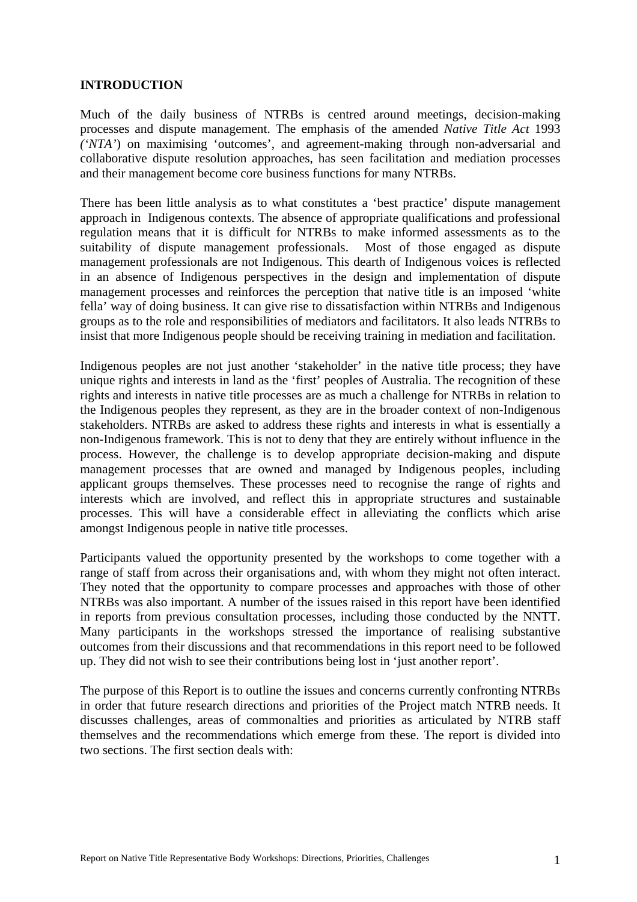#### <span id="page-11-0"></span>**INTRODUCTION**

Much of the daily business of NTRBs is centred around meetings, decision-making processes and dispute management. The emphasis of the amended *Native Title Act* 1993 *('NTA'*) on maximising 'outcomes', and agreement-making through non-adversarial and collaborative dispute resolution approaches, has seen facilitation and mediation processes and their management become core business functions for many NTRBs.

There has been little analysis as to what constitutes a 'best practice' dispute management approach in Indigenous contexts. The absence of appropriate qualifications and professional regulation means that it is difficult for NTRBs to make informed assessments as to the suitability of dispute management professionals. Most of those engaged as dispute management professionals are not Indigenous. This dearth of Indigenous voices is reflected in an absence of Indigenous perspectives in the design and implementation of dispute management processes and reinforces the perception that native title is an imposed 'white fella' way of doing business. It can give rise to dissatisfaction within NTRBs and Indigenous groups as to the role and responsibilities of mediators and facilitators. It also leads NTRBs to insist that more Indigenous people should be receiving training in mediation and facilitation.

Indigenous peoples are not just another 'stakeholder' in the native title process; they have unique rights and interests in land as the 'first' peoples of Australia. The recognition of these rights and interests in native title processes are as much a challenge for NTRBs in relation to the Indigenous peoples they represent, as they are in the broader context of non-Indigenous stakeholders. NTRBs are asked to address these rights and interests in what is essentially a non-Indigenous framework. This is not to deny that they are entirely without influence in the process. However, the challenge is to develop appropriate decision-making and dispute management processes that are owned and managed by Indigenous peoples, including applicant groups themselves. These processes need to recognise the range of rights and interests which are involved, and reflect this in appropriate structures and sustainable processes. This will have a considerable effect in alleviating the conflicts which arise amongst Indigenous people in native title processes.

Participants valued the opportunity presented by the workshops to come together with a range of staff from across their organisations and, with whom they might not often interact. They noted that the opportunity to compare processes and approaches with those of other NTRBs was also important. A number of the issues raised in this report have been identified in reports from previous consultation processes, including those conducted by the NNTT. Many participants in the workshops stressed the importance of realising substantive outcomes from their discussions and that recommendations in this report need to be followed up. They did not wish to see their contributions being lost in 'just another report'.

The purpose of this Report is to outline the issues and concerns currently confronting NTRBs in order that future research directions and priorities of the Project match NTRB needs. It discusses challenges, areas of commonalties and priorities as articulated by NTRB staff themselves and the recommendations which emerge from these. The report is divided into two sections. The first section deals with: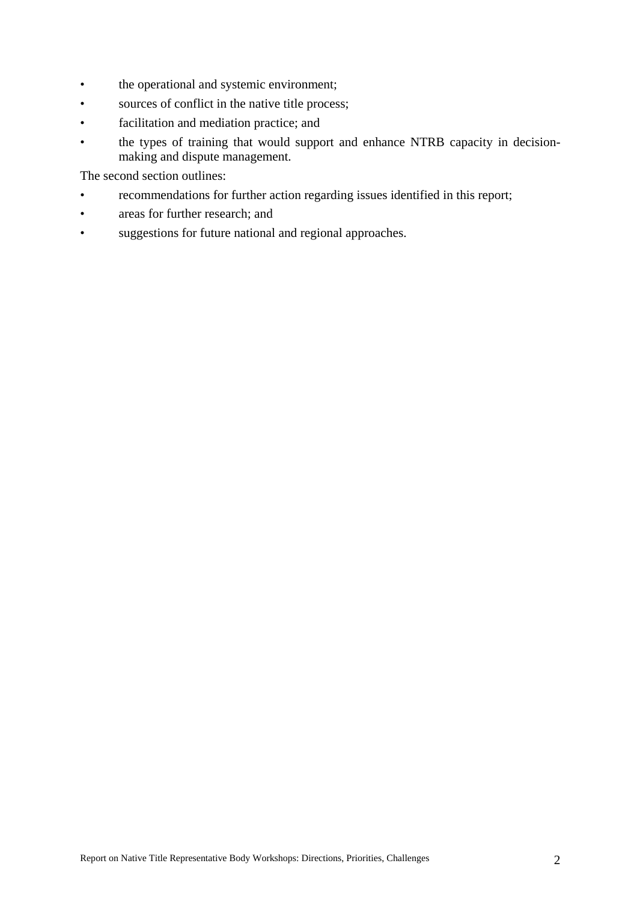- the operational and systemic environment;
- sources of conflict in the native title process;
- facilitation and mediation practice; and
- the types of training that would support and enhance NTRB capacity in decisionmaking and dispute management.

The second section outlines:

- recommendations for further action regarding issues identified in this report;
- areas for further research; and
- suggestions for future national and regional approaches.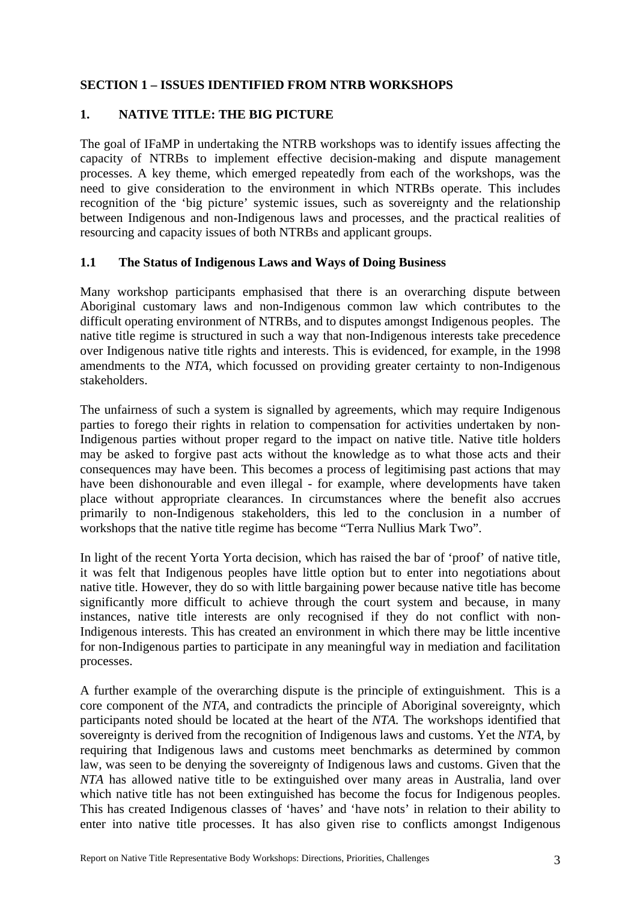### <span id="page-13-0"></span>**SECTION 1 – ISSUES IDENTIFIED FROM NTRB WORKSHOPS**

### **1. NATIVE TITLE: THE BIG PICTURE**

The goal of IFaMP in undertaking the NTRB workshops was to identify issues affecting the capacity of NTRBs to implement effective decision-making and dispute management processes. A key theme, which emerged repeatedly from each of the workshops, was the need to give consideration to the environment in which NTRBs operate. This includes recognition of the 'big picture' systemic issues, such as sovereignty and the relationship between Indigenous and non-Indigenous laws and processes, and the practical realities of resourcing and capacity issues of both NTRBs and applicant groups.

### **1.1 The Status of Indigenous Laws and Ways of Doing Business**

Many workshop participants emphasised that there is an overarching dispute between Aboriginal customary laws and non-Indigenous common law which contributes to the difficult operating environment of NTRBs, and to disputes amongst Indigenous peoples. The native title regime is structured in such a way that non-Indigenous interests take precedence over Indigenous native title rights and interests. This is evidenced, for example, in the 1998 amendments to the *NTA*, which focussed on providing greater certainty to non-Indigenous stakeholders.

The unfairness of such a system is signalled by agreements, which may require Indigenous parties to forego their rights in relation to compensation for activities undertaken by non-Indigenous parties without proper regard to the impact on native title. Native title holders may be asked to forgive past acts without the knowledge as to what those acts and their consequences may have been. This becomes a process of legitimising past actions that may have been dishonourable and even illegal - for example, where developments have taken place without appropriate clearances. In circumstances where the benefit also accrues primarily to non-Indigenous stakeholders, this led to the conclusion in a number of workshops that the native title regime has become "Terra Nullius Mark Two".

In light of the recent Yorta Yorta decision, which has raised the bar of 'proof' of native title, it was felt that Indigenous peoples have little option but to enter into negotiations about native title. However, they do so with little bargaining power because native title has become significantly more difficult to achieve through the court system and because, in many instances, native title interests are only recognised if they do not conflict with non-Indigenous interests. This has created an environment in which there may be little incentive for non-Indigenous parties to participate in any meaningful way in mediation and facilitation processes.

A further example of the overarching dispute is the principle of extinguishment. This is a core component of the *NTA*, and contradicts the principle of Aboriginal sovereignty, which participants noted should be located at the heart of the *NTA.* The workshops identified that sovereignty is derived from the recognition of Indigenous laws and customs. Yet the *NTA*, by requiring that Indigenous laws and customs meet benchmarks as determined by common law, was seen to be denying the sovereignty of Indigenous laws and customs. Given that the *NTA* has allowed native title to be extinguished over many areas in Australia, land over which native title has not been extinguished has become the focus for Indigenous peoples. This has created Indigenous classes of 'haves' and 'have nots' in relation to their ability to enter into native title processes. It has also given rise to conflicts amongst Indigenous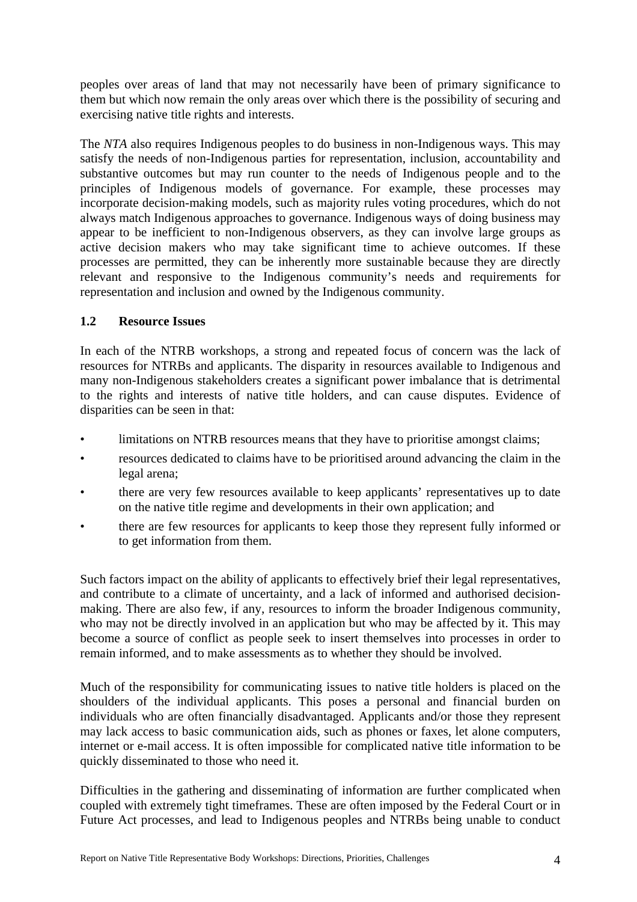<span id="page-14-0"></span>peoples over areas of land that may not necessarily have been of primary significance to them but which now remain the only areas over which there is the possibility of securing and exercising native title rights and interests.

The *NTA* also requires Indigenous peoples to do business in non-Indigenous ways. This may satisfy the needs of non-Indigenous parties for representation, inclusion, accountability and substantive outcomes but may run counter to the needs of Indigenous people and to the principles of Indigenous models of governance. For example, these processes may incorporate decision-making models, such as majority rules voting procedures, which do not always match Indigenous approaches to governance. Indigenous ways of doing business may appear to be inefficient to non-Indigenous observers, as they can involve large groups as active decision makers who may take significant time to achieve outcomes. If these processes are permitted, they can be inherently more sustainable because they are directly relevant and responsive to the Indigenous community's needs and requirements for representation and inclusion and owned by the Indigenous community.

## **1.2 Resource Issues**

In each of the NTRB workshops, a strong and repeated focus of concern was the lack of resources for NTRBs and applicants. The disparity in resources available to Indigenous and many non-Indigenous stakeholders creates a significant power imbalance that is detrimental to the rights and interests of native title holders, and can cause disputes. Evidence of disparities can be seen in that:

- limitations on NTRB resources means that they have to prioritise amongst claims;
- resources dedicated to claims have to be prioritised around advancing the claim in the legal arena;
- there are very few resources available to keep applicants' representatives up to date on the native title regime and developments in their own application; and
- there are few resources for applicants to keep those they represent fully informed or to get information from them.

Such factors impact on the ability of applicants to effectively brief their legal representatives, and contribute to a climate of uncertainty, and a lack of informed and authorised decisionmaking. There are also few, if any, resources to inform the broader Indigenous community, who may not be directly involved in an application but who may be affected by it. This may become a source of conflict as people seek to insert themselves into processes in order to remain informed, and to make assessments as to whether they should be involved.

Much of the responsibility for communicating issues to native title holders is placed on the shoulders of the individual applicants. This poses a personal and financial burden on individuals who are often financially disadvantaged. Applicants and/or those they represent may lack access to basic communication aids, such as phones or faxes, let alone computers, internet or e-mail access. It is often impossible for complicated native title information to be quickly disseminated to those who need it.

Difficulties in the gathering and disseminating of information are further complicated when coupled with extremely tight timeframes. These are often imposed by the Federal Court or in Future Act processes, and lead to Indigenous peoples and NTRBs being unable to conduct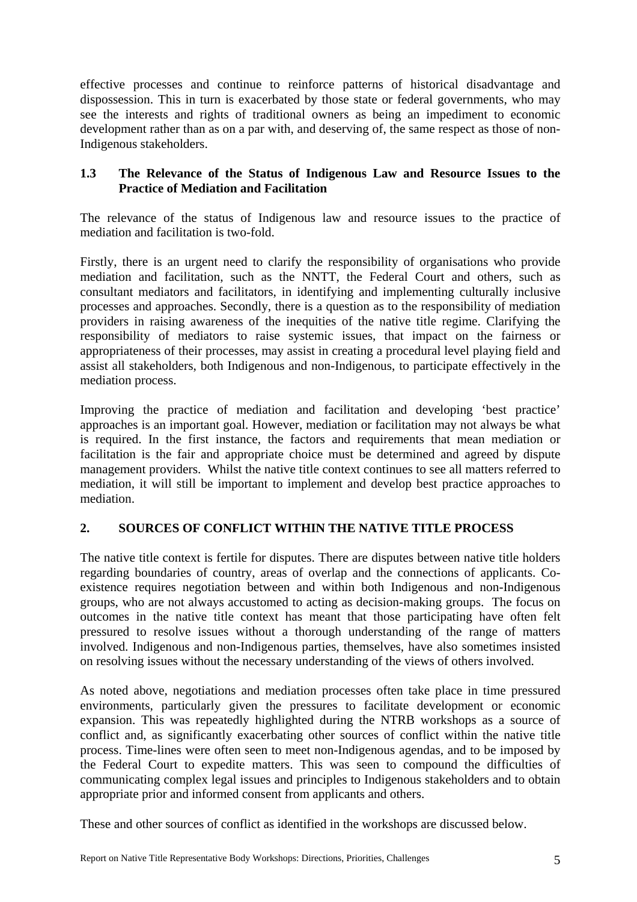<span id="page-15-0"></span>effective processes and continue to reinforce patterns of historical disadvantage and dispossession. This in turn is exacerbated by those state or federal governments, who may see the interests and rights of traditional owners as being an impediment to economic development rather than as on a par with, and deserving of, the same respect as those of non-Indigenous stakeholders.

## **1.3 The Relevance of the Status of Indigenous Law and Resource Issues to the Practice of Mediation and Facilitation**

The relevance of the status of Indigenous law and resource issues to the practice of mediation and facilitation is two-fold.

Firstly, there is an urgent need to clarify the responsibility of organisations who provide mediation and facilitation, such as the NNTT, the Federal Court and others, such as consultant mediators and facilitators, in identifying and implementing culturally inclusive processes and approaches. Secondly, there is a question as to the responsibility of mediation providers in raising awareness of the inequities of the native title regime. Clarifying the responsibility of mediators to raise systemic issues, that impact on the fairness or appropriateness of their processes, may assist in creating a procedural level playing field and assist all stakeholders, both Indigenous and non-Indigenous, to participate effectively in the mediation process.

Improving the practice of mediation and facilitation and developing 'best practice' approaches is an important goal. However, mediation or facilitation may not always be what is required. In the first instance, the factors and requirements that mean mediation or facilitation is the fair and appropriate choice must be determined and agreed by dispute management providers. Whilst the native title context continues to see all matters referred to mediation, it will still be important to implement and develop best practice approaches to mediation.

## **2. SOURCES OF CONFLICT WITHIN THE NATIVE TITLE PROCESS**

The native title context is fertile for disputes. There are disputes between native title holders regarding boundaries of country, areas of overlap and the connections of applicants. Coexistence requires negotiation between and within both Indigenous and non-Indigenous groups, who are not always accustomed to acting as decision-making groups. The focus on outcomes in the native title context has meant that those participating have often felt pressured to resolve issues without a thorough understanding of the range of matters involved. Indigenous and non-Indigenous parties, themselves, have also sometimes insisted on resolving issues without the necessary understanding of the views of others involved.

As noted above, negotiations and mediation processes often take place in time pressured environments, particularly given the pressures to facilitate development or economic expansion. This was repeatedly highlighted during the NTRB workshops as a source of conflict and, as significantly exacerbating other sources of conflict within the native title process. Time-lines were often seen to meet non-Indigenous agendas, and to be imposed by the Federal Court to expedite matters. This was seen to compound the difficulties of communicating complex legal issues and principles to Indigenous stakeholders and to obtain appropriate prior and informed consent from applicants and others.

These and other sources of conflict as identified in the workshops are discussed below.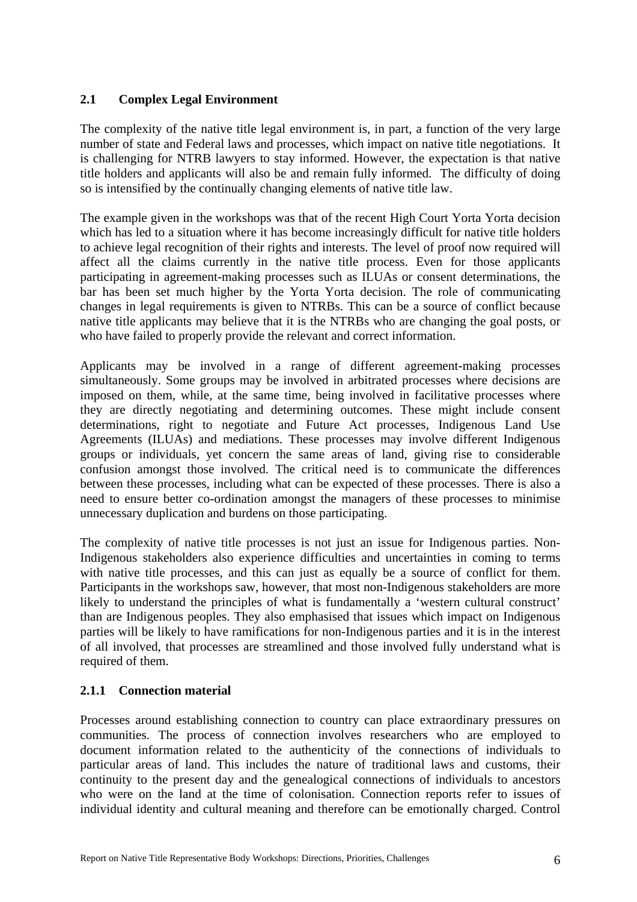### <span id="page-16-0"></span>**2.1 Complex Legal Environment**

The complexity of the native title legal environment is, in part, a function of the very large number of state and Federal laws and processes, which impact on native title negotiations. It is challenging for NTRB lawyers to stay informed. However, the expectation is that native title holders and applicants will also be and remain fully informed. The difficulty of doing so is intensified by the continually changing elements of native title law.

The example given in the workshops was that of the recent High Court Yorta Yorta decision which has led to a situation where it has become increasingly difficult for native title holders to achieve legal recognition of their rights and interests. The level of proof now required will affect all the claims currently in the native title process. Even for those applicants participating in agreement-making processes such as ILUAs or consent determinations, the bar has been set much higher by the Yorta Yorta decision. The role of communicating changes in legal requirements is given to NTRBs. This can be a source of conflict because native title applicants may believe that it is the NTRBs who are changing the goal posts, or who have failed to properly provide the relevant and correct information.

Applicants may be involved in a range of different agreement-making processes simultaneously. Some groups may be involved in arbitrated processes where decisions are imposed on them, while, at the same time, being involved in facilitative processes where they are directly negotiating and determining outcomes. These might include consent determinations, right to negotiate and Future Act processes, Indigenous Land Use Agreements (ILUAs) and mediations. These processes may involve different Indigenous groups or individuals, yet concern the same areas of land, giving rise to considerable confusion amongst those involved. The critical need is to communicate the differences between these processes, including what can be expected of these processes. There is also a need to ensure better co-ordination amongst the managers of these processes to minimise unnecessary duplication and burdens on those participating.

The complexity of native title processes is not just an issue for Indigenous parties. Non-Indigenous stakeholders also experience difficulties and uncertainties in coming to terms with native title processes, and this can just as equally be a source of conflict for them. Participants in the workshops saw, however, that most non-Indigenous stakeholders are more likely to understand the principles of what is fundamentally a 'western cultural construct' than are Indigenous peoples. They also emphasised that issues which impact on Indigenous parties will be likely to have ramifications for non-Indigenous parties and it is in the interest of all involved, that processes are streamlined and those involved fully understand what is required of them.

## **2.1.1 Connection material**

Processes around establishing connection to country can place extraordinary pressures on communities. The process of connection involves researchers who are employed to document information related to the authenticity of the connections of individuals to particular areas of land. This includes the nature of traditional laws and customs, their continuity to the present day and the genealogical connections of individuals to ancestors who were on the land at the time of colonisation. Connection reports refer to issues of individual identity and cultural meaning and therefore can be emotionally charged. Control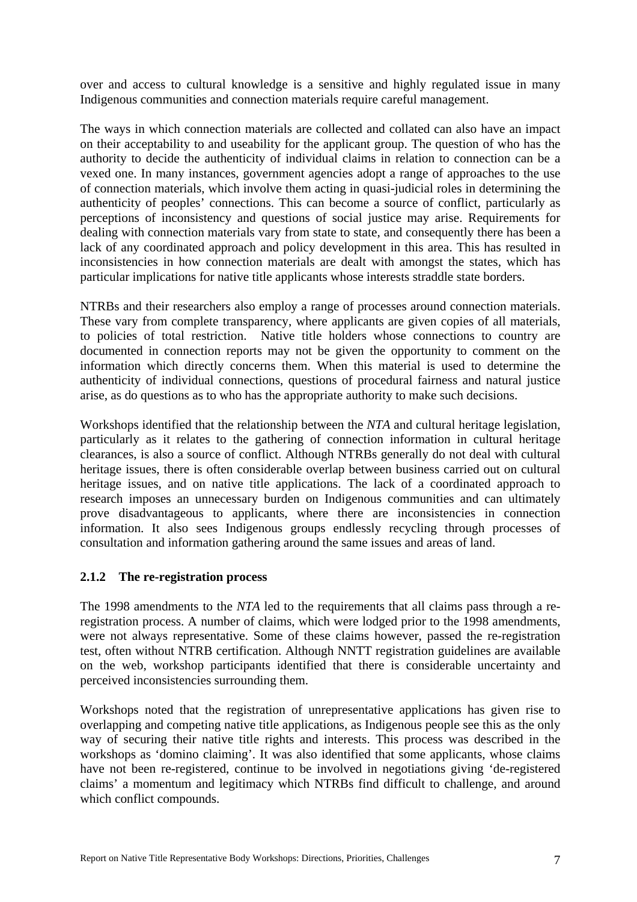<span id="page-17-0"></span>over and access to cultural knowledge is a sensitive and highly regulated issue in many Indigenous communities and connection materials require careful management.

The ways in which connection materials are collected and collated can also have an impact on their acceptability to and useability for the applicant group. The question of who has the authority to decide the authenticity of individual claims in relation to connection can be a vexed one. In many instances, government agencies adopt a range of approaches to the use of connection materials, which involve them acting in quasi-judicial roles in determining the authenticity of peoples' connections. This can become a source of conflict, particularly as perceptions of inconsistency and questions of social justice may arise. Requirements for dealing with connection materials vary from state to state, and consequently there has been a lack of any coordinated approach and policy development in this area. This has resulted in inconsistencies in how connection materials are dealt with amongst the states, which has particular implications for native title applicants whose interests straddle state borders.

NTRBs and their researchers also employ a range of processes around connection materials. These vary from complete transparency, where applicants are given copies of all materials, to policies of total restriction. Native title holders whose connections to country are documented in connection reports may not be given the opportunity to comment on the information which directly concerns them. When this material is used to determine the authenticity of individual connections, questions of procedural fairness and natural justice arise, as do questions as to who has the appropriate authority to make such decisions.

Workshops identified that the relationship between the *NTA* and cultural heritage legislation, particularly as it relates to the gathering of connection information in cultural heritage clearances, is also a source of conflict. Although NTRBs generally do not deal with cultural heritage issues, there is often considerable overlap between business carried out on cultural heritage issues, and on native title applications. The lack of a coordinated approach to research imposes an unnecessary burden on Indigenous communities and can ultimately prove disadvantageous to applicants, where there are inconsistencies in connection information. It also sees Indigenous groups endlessly recycling through processes of consultation and information gathering around the same issues and areas of land.

#### **2.1.2 The re-registration process**

The 1998 amendments to the *NTA* led to the requirements that all claims pass through a reregistration process. A number of claims, which were lodged prior to the 1998 amendments, were not always representative. Some of these claims however, passed the re-registration test, often without NTRB certification. Although NNTT registration guidelines are available on the web, workshop participants identified that there is considerable uncertainty and perceived inconsistencies surrounding them.

Workshops noted that the registration of unrepresentative applications has given rise to overlapping and competing native title applications, as Indigenous people see this as the only way of securing their native title rights and interests. This process was described in the workshops as 'domino claiming'. It was also identified that some applicants, whose claims have not been re-registered, continue to be involved in negotiations giving 'de-registered claims' a momentum and legitimacy which NTRBs find difficult to challenge, and around which conflict compounds.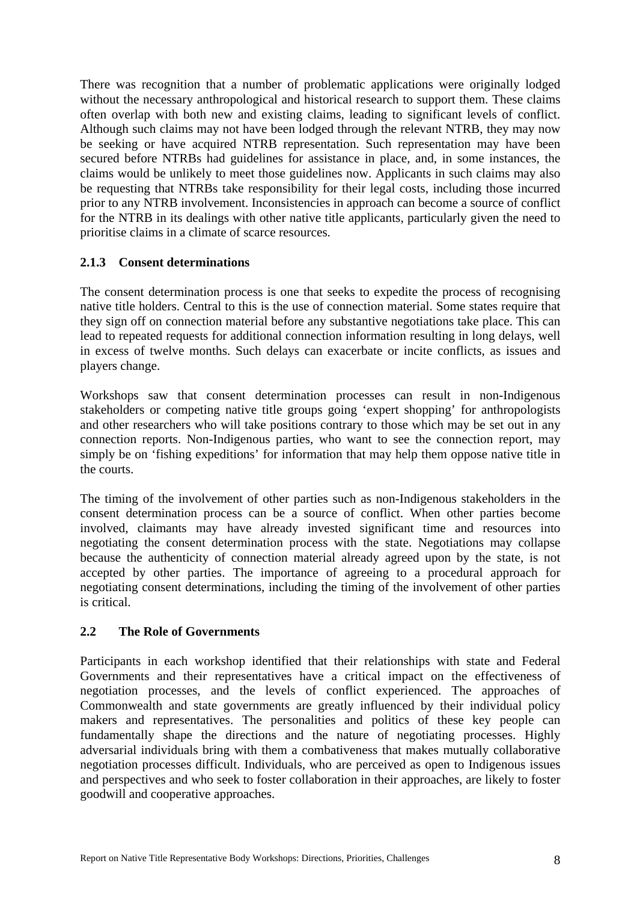<span id="page-18-0"></span>There was recognition that a number of problematic applications were originally lodged without the necessary anthropological and historical research to support them. These claims often overlap with both new and existing claims, leading to significant levels of conflict. Although such claims may not have been lodged through the relevant NTRB, they may now be seeking or have acquired NTRB representation. Such representation may have been secured before NTRBs had guidelines for assistance in place, and, in some instances, the claims would be unlikely to meet those guidelines now. Applicants in such claims may also be requesting that NTRBs take responsibility for their legal costs, including those incurred prior to any NTRB involvement. Inconsistencies in approach can become a source of conflict for the NTRB in its dealings with other native title applicants, particularly given the need to prioritise claims in a climate of scarce resources.

## **2.1.3 Consent determinations**

The consent determination process is one that seeks to expedite the process of recognising native title holders. Central to this is the use of connection material. Some states require that they sign off on connection material before any substantive negotiations take place. This can lead to repeated requests for additional connection information resulting in long delays, well in excess of twelve months. Such delays can exacerbate or incite conflicts, as issues and players change.

Workshops saw that consent determination processes can result in non-Indigenous stakeholders or competing native title groups going 'expert shopping' for anthropologists and other researchers who will take positions contrary to those which may be set out in any connection reports. Non-Indigenous parties, who want to see the connection report, may simply be on 'fishing expeditions' for information that may help them oppose native title in the courts.

The timing of the involvement of other parties such as non-Indigenous stakeholders in the consent determination process can be a source of conflict. When other parties become involved, claimants may have already invested significant time and resources into negotiating the consent determination process with the state. Negotiations may collapse because the authenticity of connection material already agreed upon by the state, is not accepted by other parties. The importance of agreeing to a procedural approach for negotiating consent determinations, including the timing of the involvement of other parties is critical.

## **2.2 The Role of Governments**

Participants in each workshop identified that their relationships with state and Federal Governments and their representatives have a critical impact on the effectiveness of negotiation processes, and the levels of conflict experienced. The approaches of Commonwealth and state governments are greatly influenced by their individual policy makers and representatives. The personalities and politics of these key people can fundamentally shape the directions and the nature of negotiating processes. Highly adversarial individuals bring with them a combativeness that makes mutually collaborative negotiation processes difficult. Individuals, who are perceived as open to Indigenous issues and perspectives and who seek to foster collaboration in their approaches, are likely to foster goodwill and cooperative approaches.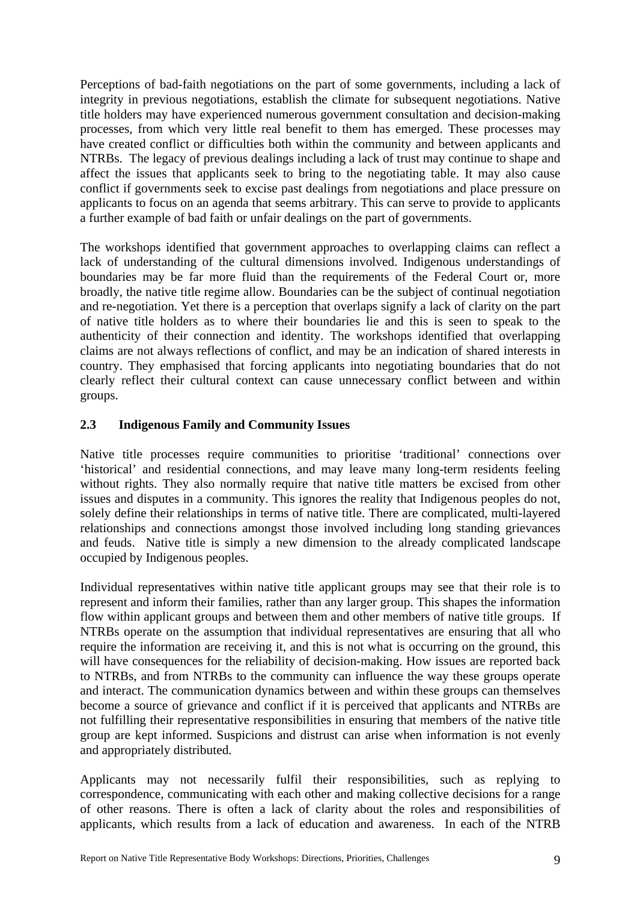<span id="page-19-0"></span>Perceptions of bad-faith negotiations on the part of some governments, including a lack of integrity in previous negotiations, establish the climate for subsequent negotiations. Native title holders may have experienced numerous government consultation and decision-making processes, from which very little real benefit to them has emerged. These processes may have created conflict or difficulties both within the community and between applicants and NTRBs. The legacy of previous dealings including a lack of trust may continue to shape and affect the issues that applicants seek to bring to the negotiating table. It may also cause conflict if governments seek to excise past dealings from negotiations and place pressure on applicants to focus on an agenda that seems arbitrary. This can serve to provide to applicants a further example of bad faith or unfair dealings on the part of governments.

The workshops identified that government approaches to overlapping claims can reflect a lack of understanding of the cultural dimensions involved. Indigenous understandings of boundaries may be far more fluid than the requirements of the Federal Court or, more broadly, the native title regime allow. Boundaries can be the subject of continual negotiation and re-negotiation. Yet there is a perception that overlaps signify a lack of clarity on the part of native title holders as to where their boundaries lie and this is seen to speak to the authenticity of their connection and identity. The workshops identified that overlapping claims are not always reflections of conflict, and may be an indication of shared interests in country. They emphasised that forcing applicants into negotiating boundaries that do not clearly reflect their cultural context can cause unnecessary conflict between and within groups.

## **2.3 Indigenous Family and Community Issues**

Native title processes require communities to prioritise 'traditional' connections over 'historical' and residential connections, and may leave many long-term residents feeling without rights. They also normally require that native title matters be excised from other issues and disputes in a community. This ignores the reality that Indigenous peoples do not, solely define their relationships in terms of native title. There are complicated, multi-layered relationships and connections amongst those involved including long standing grievances and feuds. Native title is simply a new dimension to the already complicated landscape occupied by Indigenous peoples.

Individual representatives within native title applicant groups may see that their role is to represent and inform their families, rather than any larger group. This shapes the information flow within applicant groups and between them and other members of native title groups. If NTRBs operate on the assumption that individual representatives are ensuring that all who require the information are receiving it, and this is not what is occurring on the ground, this will have consequences for the reliability of decision-making. How issues are reported back to NTRBs, and from NTRBs to the community can influence the way these groups operate and interact. The communication dynamics between and within these groups can themselves become a source of grievance and conflict if it is perceived that applicants and NTRBs are not fulfilling their representative responsibilities in ensuring that members of the native title group are kept informed. Suspicions and distrust can arise when information is not evenly and appropriately distributed.

Applicants may not necessarily fulfil their responsibilities, such as replying to correspondence, communicating with each other and making collective decisions for a range of other reasons. There is often a lack of clarity about the roles and responsibilities of applicants, which results from a lack of education and awareness. In each of the NTRB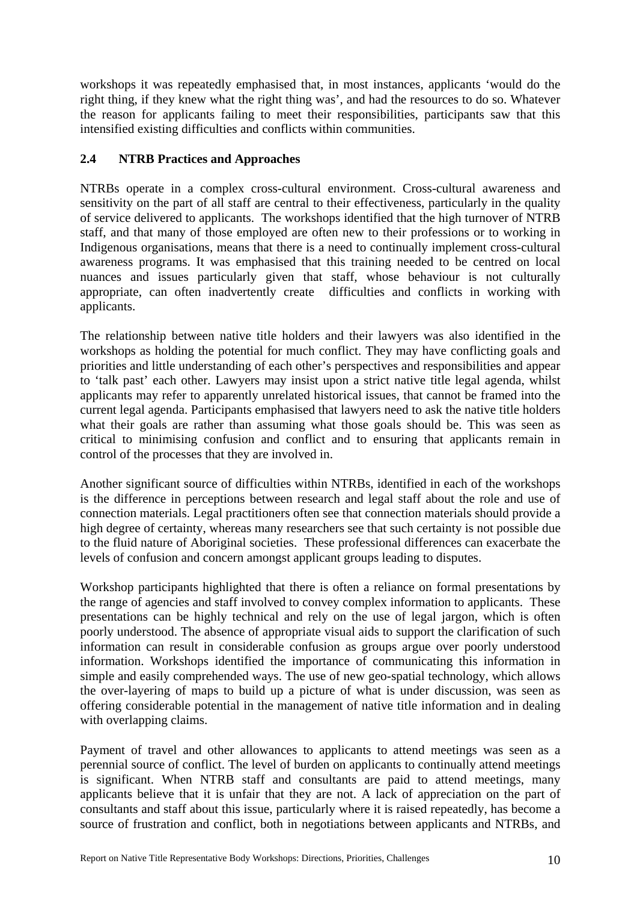<span id="page-20-0"></span>workshops it was repeatedly emphasised that, in most instances, applicants 'would do the right thing, if they knew what the right thing was', and had the resources to do so. Whatever the reason for applicants failing to meet their responsibilities, participants saw that this intensified existing difficulties and conflicts within communities.

## **2.4 NTRB Practices and Approaches**

NTRBs operate in a complex cross-cultural environment. Cross-cultural awareness and sensitivity on the part of all staff are central to their effectiveness, particularly in the quality of service delivered to applicants. The workshops identified that the high turnover of NTRB staff, and that many of those employed are often new to their professions or to working in Indigenous organisations, means that there is a need to continually implement cross-cultural awareness programs. It was emphasised that this training needed to be centred on local nuances and issues particularly given that staff, whose behaviour is not culturally appropriate, can often inadvertently create difficulties and conflicts in working with applicants.

The relationship between native title holders and their lawyers was also identified in the workshops as holding the potential for much conflict. They may have conflicting goals and priorities and little understanding of each other's perspectives and responsibilities and appear to 'talk past' each other. Lawyers may insist upon a strict native title legal agenda, whilst applicants may refer to apparently unrelated historical issues, that cannot be framed into the current legal agenda. Participants emphasised that lawyers need to ask the native title holders what their goals are rather than assuming what those goals should be. This was seen as critical to minimising confusion and conflict and to ensuring that applicants remain in control of the processes that they are involved in.

Another significant source of difficulties within NTRBs, identified in each of the workshops is the difference in perceptions between research and legal staff about the role and use of connection materials. Legal practitioners often see that connection materials should provide a high degree of certainty, whereas many researchers see that such certainty is not possible due to the fluid nature of Aboriginal societies. These professional differences can exacerbate the levels of confusion and concern amongst applicant groups leading to disputes.

Workshop participants highlighted that there is often a reliance on formal presentations by the range of agencies and staff involved to convey complex information to applicants. These presentations can be highly technical and rely on the use of legal jargon, which is often poorly understood. The absence of appropriate visual aids to support the clarification of such information can result in considerable confusion as groups argue over poorly understood information. Workshops identified the importance of communicating this information in simple and easily comprehended ways. The use of new geo-spatial technology, which allows the over-layering of maps to build up a picture of what is under discussion, was seen as offering considerable potential in the management of native title information and in dealing with overlapping claims.

Payment of travel and other allowances to applicants to attend meetings was seen as a perennial source of conflict. The level of burden on applicants to continually attend meetings is significant. When NTRB staff and consultants are paid to attend meetings, many applicants believe that it is unfair that they are not. A lack of appreciation on the part of consultants and staff about this issue, particularly where it is raised repeatedly, has become a source of frustration and conflict, both in negotiations between applicants and NTRBs, and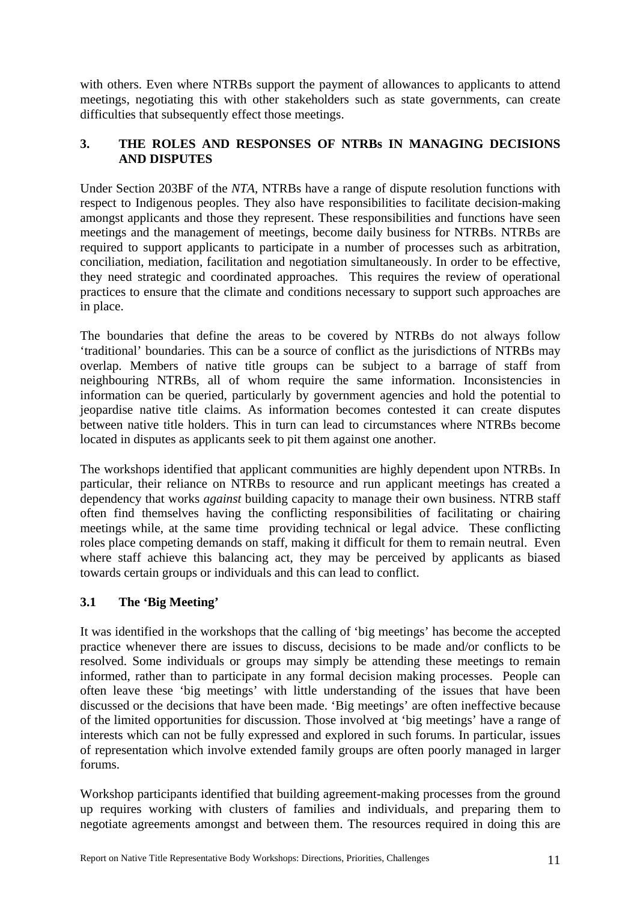<span id="page-21-0"></span>with others. Even where NTRBs support the payment of allowances to applicants to attend meetings, negotiating this with other stakeholders such as state governments, can create difficulties that subsequently effect those meetings.

## **3. THE ROLES AND RESPONSES OF NTRBs IN MANAGING DECISIONS AND DISPUTES**

Under Section 203BF of the *NTA*, NTRBs have a range of dispute resolution functions with respect to Indigenous peoples. They also have responsibilities to facilitate decision-making amongst applicants and those they represent. These responsibilities and functions have seen meetings and the management of meetings, become daily business for NTRBs. NTRBs are required to support applicants to participate in a number of processes such as arbitration, conciliation, mediation, facilitation and negotiation simultaneously. In order to be effective, they need strategic and coordinated approaches. This requires the review of operational practices to ensure that the climate and conditions necessary to support such approaches are in place.

The boundaries that define the areas to be covered by NTRBs do not always follow 'traditional' boundaries. This can be a source of conflict as the jurisdictions of NTRBs may overlap. Members of native title groups can be subject to a barrage of staff from neighbouring NTRBs, all of whom require the same information. Inconsistencies in information can be queried, particularly by government agencies and hold the potential to jeopardise native title claims. As information becomes contested it can create disputes between native title holders. This in turn can lead to circumstances where NTRBs become located in disputes as applicants seek to pit them against one another.

The workshops identified that applicant communities are highly dependent upon NTRBs. In particular, their reliance on NTRBs to resource and run applicant meetings has created a dependency that works *against* building capacity to manage their own business. NTRB staff often find themselves having the conflicting responsibilities of facilitating or chairing meetings while, at the same time providing technical or legal advice. These conflicting roles place competing demands on staff, making it difficult for them to remain neutral. Even where staff achieve this balancing act, they may be perceived by applicants as biased towards certain groups or individuals and this can lead to conflict.

## **3.1 The 'Big Meeting'**

It was identified in the workshops that the calling of 'big meetings' has become the accepted practice whenever there are issues to discuss, decisions to be made and/or conflicts to be resolved. Some individuals or groups may simply be attending these meetings to remain informed, rather than to participate in any formal decision making processes. People can often leave these 'big meetings' with little understanding of the issues that have been discussed or the decisions that have been made. 'Big meetings' are often ineffective because of the limited opportunities for discussion. Those involved at 'big meetings' have a range of interests which can not be fully expressed and explored in such forums. In particular, issues of representation which involve extended family groups are often poorly managed in larger forums.

Workshop participants identified that building agreement-making processes from the ground up requires working with clusters of families and individuals, and preparing them to negotiate agreements amongst and between them. The resources required in doing this are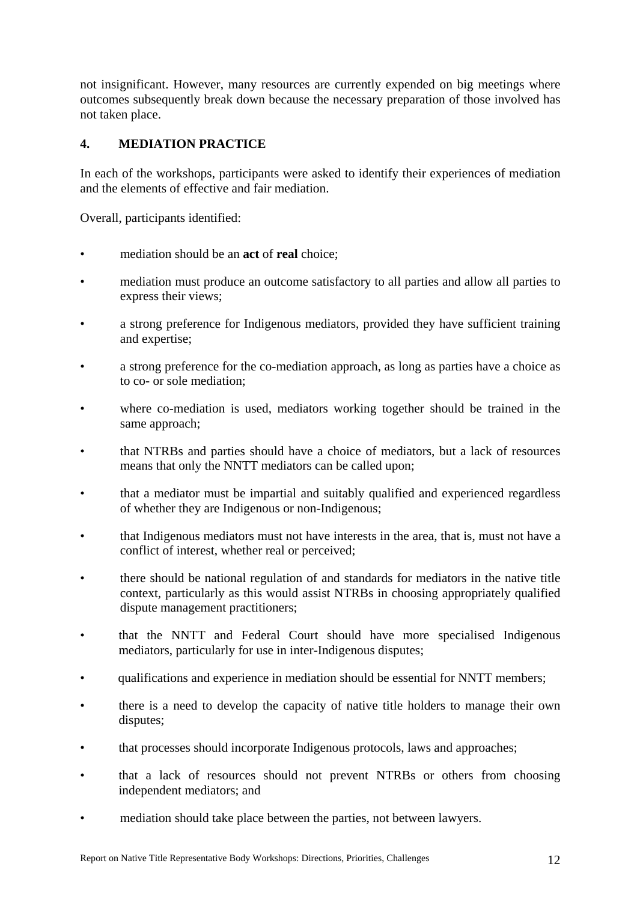<span id="page-22-0"></span>not insignificant. However, many resources are currently expended on big meetings where outcomes subsequently break down because the necessary preparation of those involved has not taken place.

## **4. MEDIATION PRACTICE**

In each of the workshops, participants were asked to identify their experiences of mediation and the elements of effective and fair mediation.

Overall, participants identified:

- mediation should be an **act** of **real** choice;
- mediation must produce an outcome satisfactory to all parties and allow all parties to express their views;
- a strong preference for Indigenous mediators, provided they have sufficient training and expertise;
- a strong preference for the co-mediation approach, as long as parties have a choice as to co- or sole mediation;
- where co-mediation is used, mediators working together should be trained in the same approach;
- that NTRBs and parties should have a choice of mediators, but a lack of resources means that only the NNTT mediators can be called upon;
- that a mediator must be impartial and suitably qualified and experienced regardless of whether they are Indigenous or non-Indigenous;
- that Indigenous mediators must not have interests in the area, that is, must not have a conflict of interest, whether real or perceived;
- there should be national regulation of and standards for mediators in the native title context, particularly as this would assist NTRBs in choosing appropriately qualified dispute management practitioners;
- that the NNTT and Federal Court should have more specialised Indigenous mediators, particularly for use in inter-Indigenous disputes;
- qualifications and experience in mediation should be essential for NNTT members;
- there is a need to develop the capacity of native title holders to manage their own disputes;
- that processes should incorporate Indigenous protocols, laws and approaches;
- that a lack of resources should not prevent NTRBs or others from choosing independent mediators; and
- mediation should take place between the parties, not between lawyers.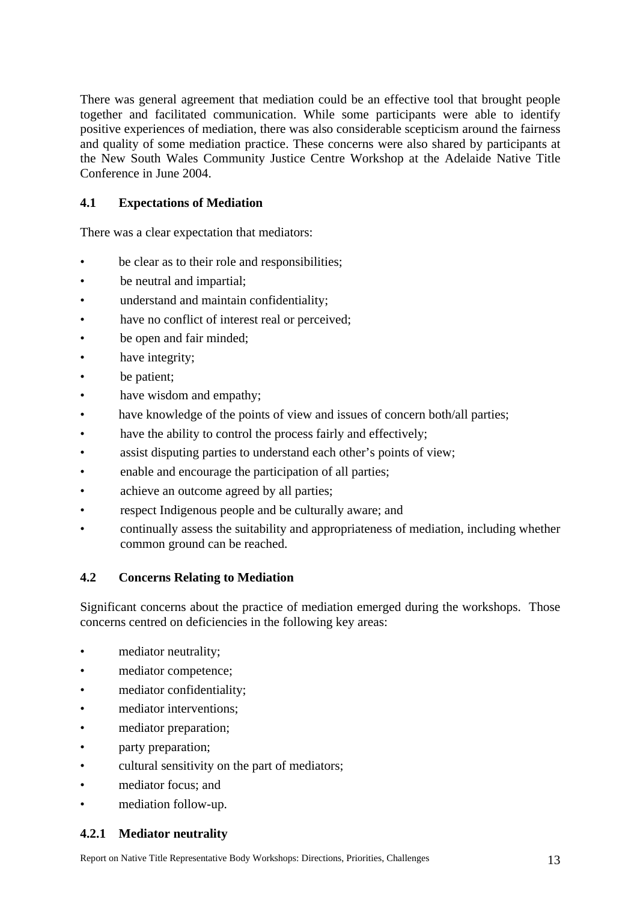<span id="page-23-0"></span>There was general agreement that mediation could be an effective tool that brought people together and facilitated communication. While some participants were able to identify positive experiences of mediation, there was also considerable scepticism around the fairness and quality of some mediation practice. These concerns were also shared by participants at the New South Wales Community Justice Centre Workshop at the Adelaide Native Title Conference in June 2004.

## **4.1 Expectations of Mediation**

There was a clear expectation that mediators:

- be clear as to their role and responsibilities;
- be neutral and impartial;
- understand and maintain confidentiality;
- have no conflict of interest real or perceived;
- be open and fair minded;
- have integrity;
- be patient;
- have wisdom and empathy;
- have knowledge of the points of view and issues of concern both/all parties;
- have the ability to control the process fairly and effectively;
- assist disputing parties to understand each other's points of view;
- enable and encourage the participation of all parties;
- achieve an outcome agreed by all parties;
- respect Indigenous people and be culturally aware; and
- continually assess the suitability and appropriateness of mediation, including whether common ground can be reached.

## **4.2 Concerns Relating to Mediation**

Significant concerns about the practice of mediation emerged during the workshops. Those concerns centred on deficiencies in the following key areas:

- mediator neutrality:
- mediator competence;
- mediator confidentiality;
- mediator interventions;
- mediator preparation;
- party preparation;
- cultural sensitivity on the part of mediators;
- mediator focus; and
- mediation follow-up.

## **4.2.1 Mediator neutrality**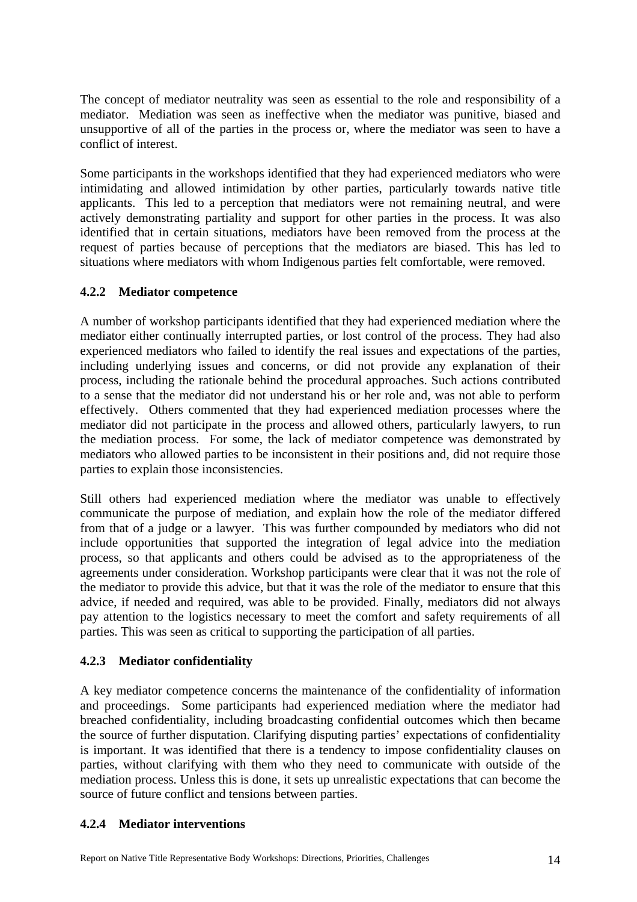<span id="page-24-0"></span>The concept of mediator neutrality was seen as essential to the role and responsibility of a mediator. Mediation was seen as ineffective when the mediator was punitive, biased and unsupportive of all of the parties in the process or, where the mediator was seen to have a conflict of interest.

Some participants in the workshops identified that they had experienced mediators who were intimidating and allowed intimidation by other parties, particularly towards native title applicants. This led to a perception that mediators were not remaining neutral, and were actively demonstrating partiality and support for other parties in the process. It was also identified that in certain situations, mediators have been removed from the process at the request of parties because of perceptions that the mediators are biased. This has led to situations where mediators with whom Indigenous parties felt comfortable, were removed.

## **4.2.2 Mediator competence**

A number of workshop participants identified that they had experienced mediation where the mediator either continually interrupted parties, or lost control of the process. They had also experienced mediators who failed to identify the real issues and expectations of the parties, including underlying issues and concerns, or did not provide any explanation of their process, including the rationale behind the procedural approaches. Such actions contributed to a sense that the mediator did not understand his or her role and, was not able to perform effectively. Others commented that they had experienced mediation processes where the mediator did not participate in the process and allowed others, particularly lawyers, to run the mediation process. For some, the lack of mediator competence was demonstrated by mediators who allowed parties to be inconsistent in their positions and, did not require those parties to explain those inconsistencies.

Still others had experienced mediation where the mediator was unable to effectively communicate the purpose of mediation, and explain how the role of the mediator differed from that of a judge or a lawyer. This was further compounded by mediators who did not include opportunities that supported the integration of legal advice into the mediation process, so that applicants and others could be advised as to the appropriateness of the agreements under consideration. Workshop participants were clear that it was not the role of the mediator to provide this advice, but that it was the role of the mediator to ensure that this advice, if needed and required, was able to be provided. Finally, mediators did not always pay attention to the logistics necessary to meet the comfort and safety requirements of all parties. This was seen as critical to supporting the participation of all parties.

## **4.2.3 Mediator confidentiality**

A key mediator competence concerns the maintenance of the confidentiality of information and proceedings. Some participants had experienced mediation where the mediator had breached confidentiality, including broadcasting confidential outcomes which then became the source of further disputation. Clarifying disputing parties' expectations of confidentiality is important. It was identified that there is a tendency to impose confidentiality clauses on parties, without clarifying with them who they need to communicate with outside of the mediation process. Unless this is done, it sets up unrealistic expectations that can become the source of future conflict and tensions between parties.

## **4.2.4 Mediator interventions**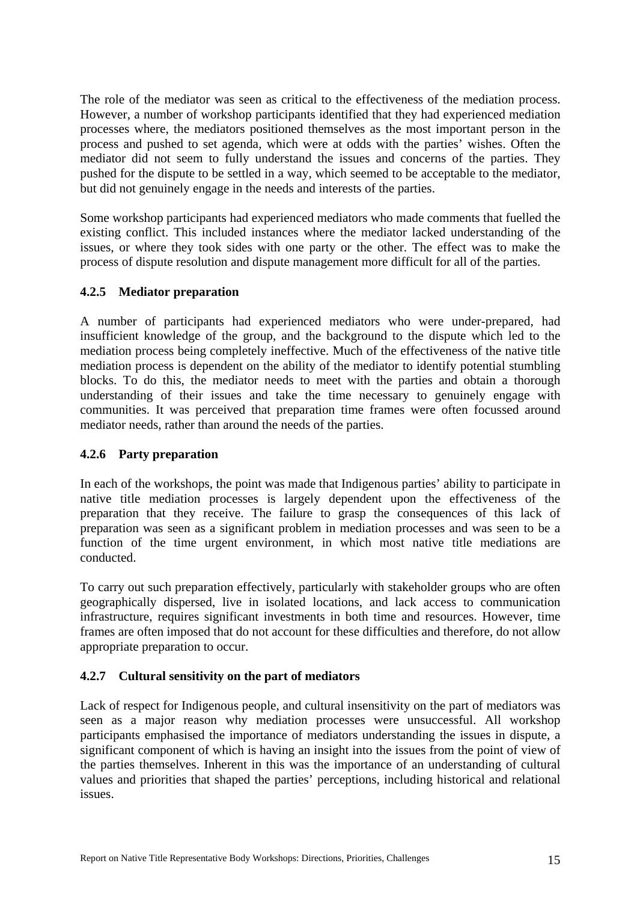<span id="page-25-0"></span>The role of the mediator was seen as critical to the effectiveness of the mediation process. However, a number of workshop participants identified that they had experienced mediation processes where, the mediators positioned themselves as the most important person in the process and pushed to set agenda, which were at odds with the parties' wishes. Often the mediator did not seem to fully understand the issues and concerns of the parties. They pushed for the dispute to be settled in a way, which seemed to be acceptable to the mediator, but did not genuinely engage in the needs and interests of the parties.

Some workshop participants had experienced mediators who made comments that fuelled the existing conflict. This included instances where the mediator lacked understanding of the issues, or where they took sides with one party or the other. The effect was to make the process of dispute resolution and dispute management more difficult for all of the parties.

## **4.2.5 Mediator preparation**

A number of participants had experienced mediators who were under-prepared, had insufficient knowledge of the group, and the background to the dispute which led to the mediation process being completely ineffective. Much of the effectiveness of the native title mediation process is dependent on the ability of the mediator to identify potential stumbling blocks. To do this, the mediator needs to meet with the parties and obtain a thorough understanding of their issues and take the time necessary to genuinely engage with communities. It was perceived that preparation time frames were often focussed around mediator needs, rather than around the needs of the parties.

## **4.2.6 Party preparation**

In each of the workshops, the point was made that Indigenous parties' ability to participate in native title mediation processes is largely dependent upon the effectiveness of the preparation that they receive. The failure to grasp the consequences of this lack of preparation was seen as a significant problem in mediation processes and was seen to be a function of the time urgent environment, in which most native title mediations are conducted.

To carry out such preparation effectively, particularly with stakeholder groups who are often geographically dispersed, live in isolated locations, and lack access to communication infrastructure, requires significant investments in both time and resources. However, time frames are often imposed that do not account for these difficulties and therefore, do not allow appropriate preparation to occur.

## **4.2.7 Cultural sensitivity on the part of mediators**

Lack of respect for Indigenous people, and cultural insensitivity on the part of mediators was seen as a major reason why mediation processes were unsuccessful. All workshop participants emphasised the importance of mediators understanding the issues in dispute, a significant component of which is having an insight into the issues from the point of view of the parties themselves. Inherent in this was the importance of an understanding of cultural values and priorities that shaped the parties' perceptions, including historical and relational issues.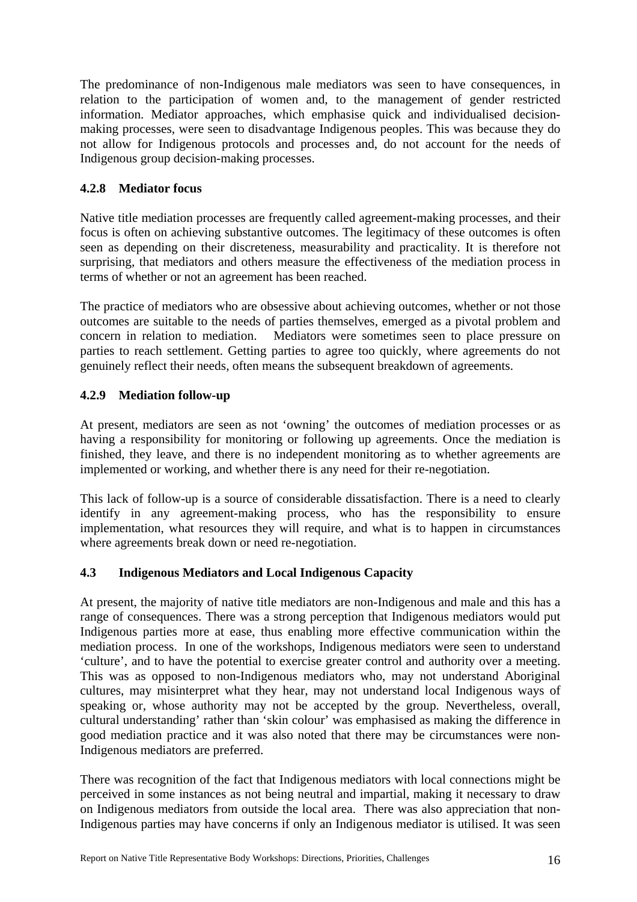<span id="page-26-0"></span>The predominance of non-Indigenous male mediators was seen to have consequences, in relation to the participation of women and, to the management of gender restricted information. Mediator approaches, which emphasise quick and individualised decisionmaking processes, were seen to disadvantage Indigenous peoples. This was because they do not allow for Indigenous protocols and processes and, do not account for the needs of Indigenous group decision-making processes.

## **4.2.8 Mediator focus**

Native title mediation processes are frequently called agreement-making processes, and their focus is often on achieving substantive outcomes. The legitimacy of these outcomes is often seen as depending on their discreteness, measurability and practicality. It is therefore not surprising, that mediators and others measure the effectiveness of the mediation process in terms of whether or not an agreement has been reached.

The practice of mediators who are obsessive about achieving outcomes, whether or not those outcomes are suitable to the needs of parties themselves, emerged as a pivotal problem and concern in relation to mediation. Mediators were sometimes seen to place pressure on parties to reach settlement. Getting parties to agree too quickly, where agreements do not genuinely reflect their needs, often means the subsequent breakdown of agreements.

## **4.2.9 Mediation follow-up**

At present, mediators are seen as not 'owning' the outcomes of mediation processes or as having a responsibility for monitoring or following up agreements. Once the mediation is finished, they leave, and there is no independent monitoring as to whether agreements are implemented or working, and whether there is any need for their re-negotiation.

This lack of follow-up is a source of considerable dissatisfaction. There is a need to clearly identify in any agreement-making process, who has the responsibility to ensure implementation, what resources they will require, and what is to happen in circumstances where agreements break down or need re-negotiation.

## **4.3 Indigenous Mediators and Local Indigenous Capacity**

At present, the majority of native title mediators are non-Indigenous and male and this has a range of consequences. There was a strong perception that Indigenous mediators would put Indigenous parties more at ease, thus enabling more effective communication within the mediation process. In one of the workshops, Indigenous mediators were seen to understand 'culture', and to have the potential to exercise greater control and authority over a meeting. This was as opposed to non-Indigenous mediators who, may not understand Aboriginal cultures, may misinterpret what they hear, may not understand local Indigenous ways of speaking or, whose authority may not be accepted by the group. Nevertheless, overall, cultural understanding' rather than 'skin colour' was emphasised as making the difference in good mediation practice and it was also noted that there may be circumstances were non-Indigenous mediators are preferred.

There was recognition of the fact that Indigenous mediators with local connections might be perceived in some instances as not being neutral and impartial, making it necessary to draw on Indigenous mediators from outside the local area. There was also appreciation that non-Indigenous parties may have concerns if only an Indigenous mediator is utilised. It was seen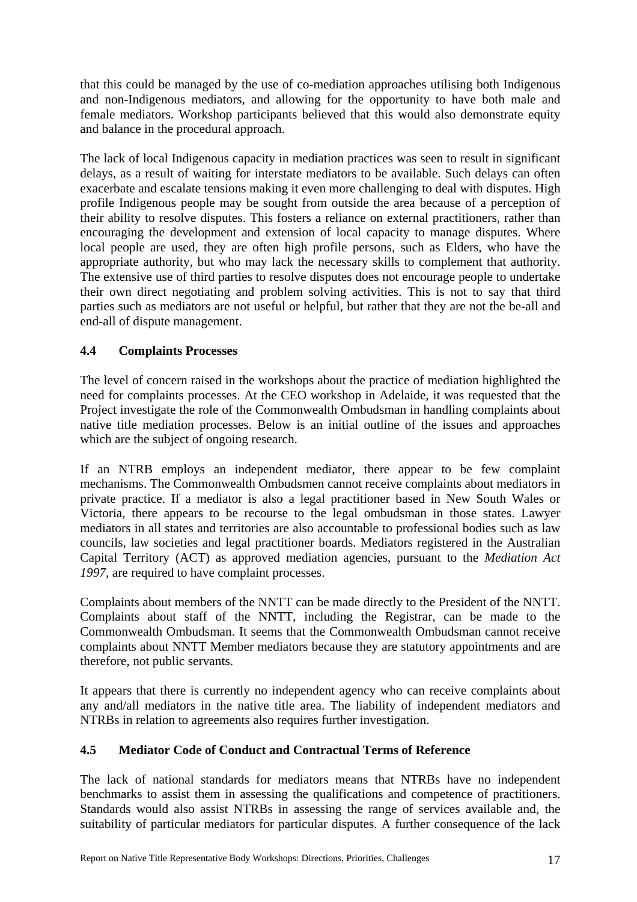<span id="page-27-0"></span>that this could be managed by the use of co-mediation approaches utilising both Indigenous and non-Indigenous mediators, and allowing for the opportunity to have both male and female mediators. Workshop participants believed that this would also demonstrate equity and balance in the procedural approach.

The lack of local Indigenous capacity in mediation practices was seen to result in significant delays, as a result of waiting for interstate mediators to be available. Such delays can often exacerbate and escalate tensions making it even more challenging to deal with disputes. High profile Indigenous people may be sought from outside the area because of a perception of their ability to resolve disputes. This fosters a reliance on external practitioners, rather than encouraging the development and extension of local capacity to manage disputes. Where local people are used, they are often high profile persons, such as Elders, who have the appropriate authority, but who may lack the necessary skills to complement that authority. The extensive use of third parties to resolve disputes does not encourage people to undertake their own direct negotiating and problem solving activities. This is not to say that third parties such as mediators are not useful or helpful, but rather that they are not the be-all and end-all of dispute management.

## **4.4 Complaints Processes**

The level of concern raised in the workshops about the practice of mediation highlighted the need for complaints processes. At the CEO workshop in Adelaide, it was requested that the Project investigate the role of the Commonwealth Ombudsman in handling complaints about native title mediation processes. Below is an initial outline of the issues and approaches which are the subject of ongoing research.

If an NTRB employs an independent mediator, there appear to be few complaint mechanisms. The Commonwealth Ombudsmen cannot receive complaints about mediators in private practice. If a mediator is also a legal practitioner based in New South Wales or Victoria, there appears to be recourse to the legal ombudsman in those states. Lawyer mediators in all states and territories are also accountable to professional bodies such as law councils, law societies and legal practitioner boards. Mediators registered in the Australian Capital Territory (ACT) as approved mediation agencies, pursuant to the *Mediation Act 1997*, are required to have complaint processes.

Complaints about members of the NNTT can be made directly to the President of the NNTT. Complaints about staff of the NNTT, including the Registrar, can be made to the Commonwealth Ombudsman. It seems that the Commonwealth Ombudsman cannot receive complaints about NNTT Member mediators because they are statutory appointments and are therefore, not public servants.

It appears that there is currently no independent agency who can receive complaints about any and/all mediators in the native title area. The liability of independent mediators and NTRBs in relation to agreements also requires further investigation.

## **4.5 Mediator Code of Conduct and Contractual Terms of Reference**

The lack of national standards for mediators means that NTRBs have no independent benchmarks to assist them in assessing the qualifications and competence of practitioners. Standards would also assist NTRBs in assessing the range of services available and, the suitability of particular mediators for particular disputes. A further consequence of the lack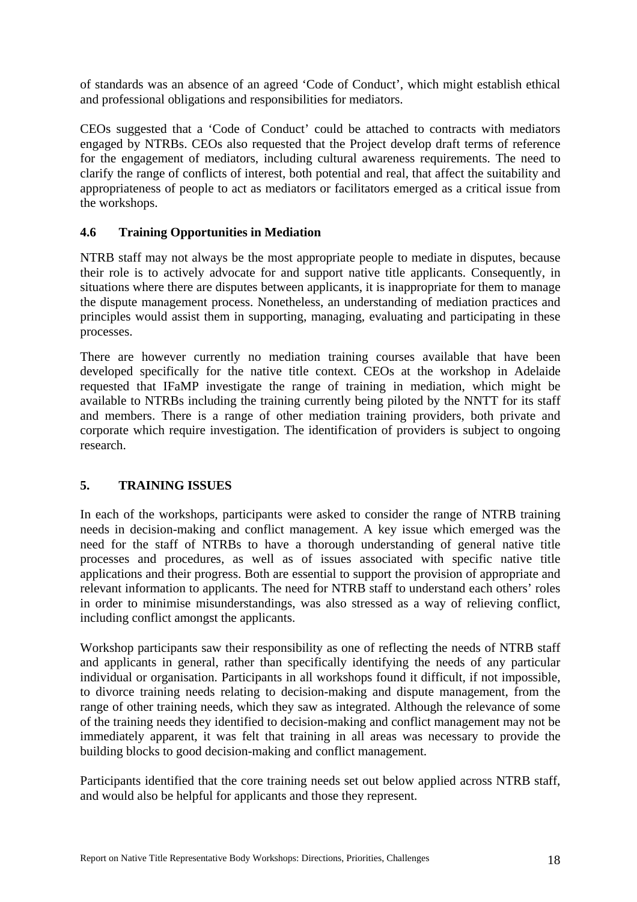<span id="page-28-0"></span>of standards was an absence of an agreed 'Code of Conduct', which might establish ethical and professional obligations and responsibilities for mediators.

CEOs suggested that a 'Code of Conduct' could be attached to contracts with mediators engaged by NTRBs. CEOs also requested that the Project develop draft terms of reference for the engagement of mediators, including cultural awareness requirements. The need to clarify the range of conflicts of interest, both potential and real, that affect the suitability and appropriateness of people to act as mediators or facilitators emerged as a critical issue from the workshops.

## **4.6 Training Opportunities in Mediation**

NTRB staff may not always be the most appropriate people to mediate in disputes, because their role is to actively advocate for and support native title applicants. Consequently, in situations where there are disputes between applicants, it is inappropriate for them to manage the dispute management process. Nonetheless, an understanding of mediation practices and principles would assist them in supporting, managing, evaluating and participating in these processes.

There are however currently no mediation training courses available that have been developed specifically for the native title context. CEOs at the workshop in Adelaide requested that IFaMP investigate the range of training in mediation, which might be available to NTRBs including the training currently being piloted by the NNTT for its staff and members. There is a range of other mediation training providers, both private and corporate which require investigation. The identification of providers is subject to ongoing research.

## **5. TRAINING ISSUES**

In each of the workshops, participants were asked to consider the range of NTRB training needs in decision-making and conflict management. A key issue which emerged was the need for the staff of NTRBs to have a thorough understanding of general native title processes and procedures, as well as of issues associated with specific native title applications and their progress. Both are essential to support the provision of appropriate and relevant information to applicants. The need for NTRB staff to understand each others' roles in order to minimise misunderstandings, was also stressed as a way of relieving conflict, including conflict amongst the applicants.

Workshop participants saw their responsibility as one of reflecting the needs of NTRB staff and applicants in general, rather than specifically identifying the needs of any particular individual or organisation. Participants in all workshops found it difficult, if not impossible, to divorce training needs relating to decision-making and dispute management, from the range of other training needs, which they saw as integrated. Although the relevance of some of the training needs they identified to decision-making and conflict management may not be immediately apparent, it was felt that training in all areas was necessary to provide the building blocks to good decision-making and conflict management.

Participants identified that the core training needs set out below applied across NTRB staff, and would also be helpful for applicants and those they represent.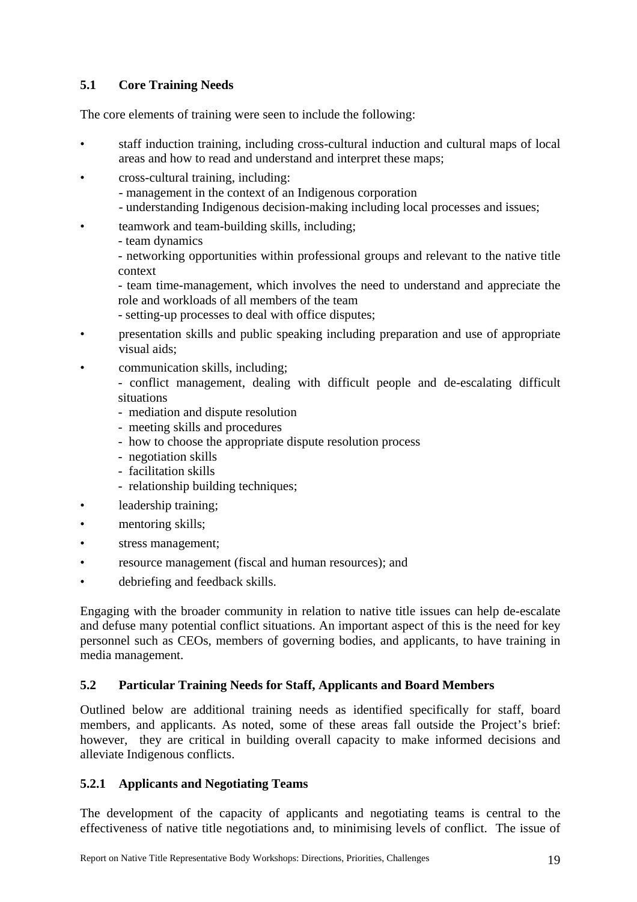## <span id="page-29-0"></span>**5.1 Core Training Needs**

The core elements of training were seen to include the following:

- staff induction training, including cross-cultural induction and cultural maps of local areas and how to read and understand and interpret these maps;
- cross-cultural training, including:
	- management in the context of an Indigenous corporation
	- understanding Indigenous decision-making including local processes and issues;
- teamwork and team-building skills, including;
	- team dynamics

- networking opportunities within professional groups and relevant to the native title context

- team time-management, which involves the need to understand and appreciate the role and workloads of all members of the team

- setting-up processes to deal with office disputes;

- presentation skills and public speaking including preparation and use of appropriate visual aids;
- communication skills, including;

- conflict management, dealing with difficult people and de-escalating difficult situations

- mediation and dispute resolution
- meeting skills and procedures
- how to choose the appropriate dispute resolution process
- negotiation skills
- facilitation skills
- relationship building techniques;
- leadership training;
- mentoring skills;
- stress management;
- resource management (fiscal and human resources); and
- debriefing and feedback skills.

Engaging with the broader community in relation to native title issues can help de-escalate and defuse many potential conflict situations. An important aspect of this is the need for key personnel such as CEOs, members of governing bodies, and applicants, to have training in media management.

## **5.2 Particular Training Needs for Staff, Applicants and Board Members**

Outlined below are additional training needs as identified specifically for staff, board members, and applicants. As noted, some of these areas fall outside the Project's brief: however, they are critical in building overall capacity to make informed decisions and alleviate Indigenous conflicts.

## **5.2.1 Applicants and Negotiating Teams**

The development of the capacity of applicants and negotiating teams is central to the effectiveness of native title negotiations and, to minimising levels of conflict. The issue of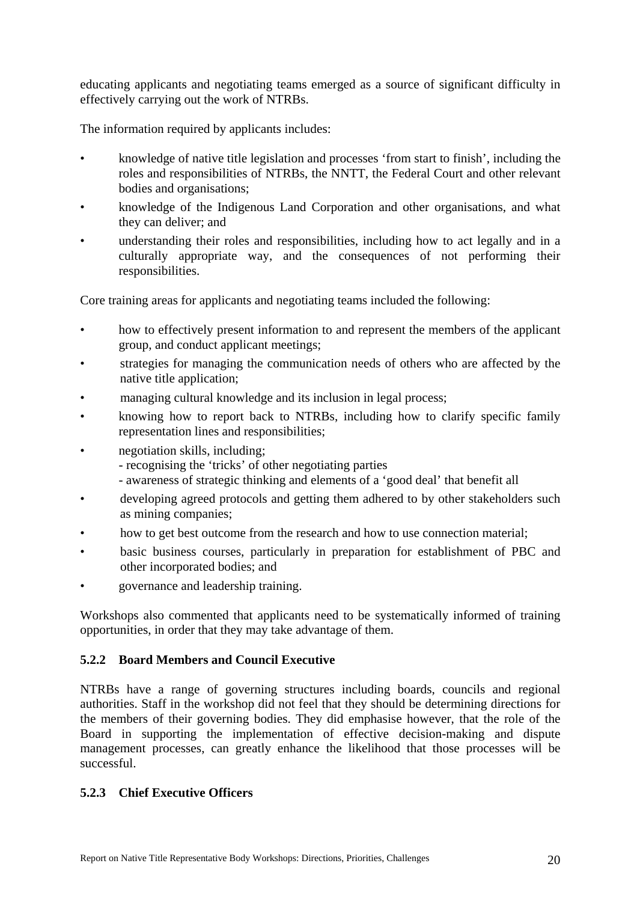<span id="page-30-0"></span>educating applicants and negotiating teams emerged as a source of significant difficulty in effectively carrying out the work of NTRBs.

The information required by applicants includes:

- knowledge of native title legislation and processes 'from start to finish', including the roles and responsibilities of NTRBs, the NNTT, the Federal Court and other relevant bodies and organisations;
- knowledge of the Indigenous Land Corporation and other organisations, and what they can deliver; and
- understanding their roles and responsibilities, including how to act legally and in a culturally appropriate way, and the consequences of not performing their responsibilities.

Core training areas for applicants and negotiating teams included the following:

- how to effectively present information to and represent the members of the applicant group, and conduct applicant meetings;
- strategies for managing the communication needs of others who are affected by the native title application;
- managing cultural knowledge and its inclusion in legal process;
- knowing how to report back to NTRBs, including how to clarify specific family representation lines and responsibilities;
- negotiation skills, including;
	- recognising the 'tricks' of other negotiating parties
	- awareness of strategic thinking and elements of a 'good deal' that benefit all
- developing agreed protocols and getting them adhered to by other stakeholders such as mining companies;
- how to get best outcome from the research and how to use connection material;
- basic business courses, particularly in preparation for establishment of PBC and other incorporated bodies; and
- governance and leadership training.

Workshops also commented that applicants need to be systematically informed of training opportunities, in order that they may take advantage of them.

## **5.2.2 Board Members and Council Executive**

NTRBs have a range of governing structures including boards, councils and regional authorities. Staff in the workshop did not feel that they should be determining directions for the members of their governing bodies. They did emphasise however, that the role of the Board in supporting the implementation of effective decision-making and dispute management processes, can greatly enhance the likelihood that those processes will be successful.

#### **5.2.3 Chief Executive Officers**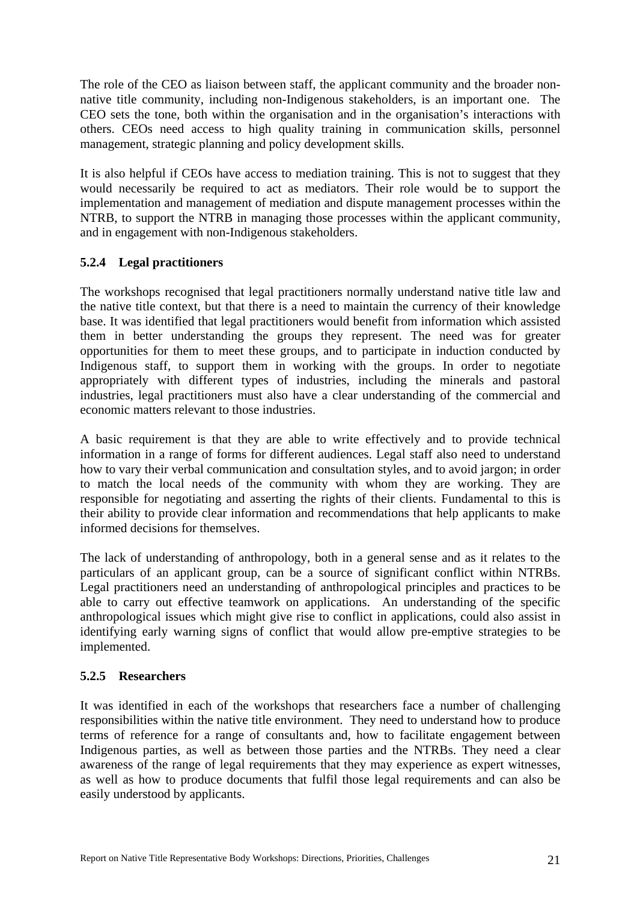<span id="page-31-0"></span>The role of the CEO as liaison between staff, the applicant community and the broader nonnative title community, including non-Indigenous stakeholders, is an important one. The CEO sets the tone, both within the organisation and in the organisation's interactions with others. CEOs need access to high quality training in communication skills, personnel management, strategic planning and policy development skills.

It is also helpful if CEOs have access to mediation training. This is not to suggest that they would necessarily be required to act as mediators. Their role would be to support the implementation and management of mediation and dispute management processes within the NTRB, to support the NTRB in managing those processes within the applicant community, and in engagement with non-Indigenous stakeholders.

## **5.2.4 Legal practitioners**

The workshops recognised that legal practitioners normally understand native title law and the native title context, but that there is a need to maintain the currency of their knowledge base. It was identified that legal practitioners would benefit from information which assisted them in better understanding the groups they represent. The need was for greater opportunities for them to meet these groups, and to participate in induction conducted by Indigenous staff, to support them in working with the groups. In order to negotiate appropriately with different types of industries, including the minerals and pastoral industries, legal practitioners must also have a clear understanding of the commercial and economic matters relevant to those industries.

A basic requirement is that they are able to write effectively and to provide technical information in a range of forms for different audiences. Legal staff also need to understand how to vary their verbal communication and consultation styles, and to avoid jargon; in order to match the local needs of the community with whom they are working. They are responsible for negotiating and asserting the rights of their clients. Fundamental to this is their ability to provide clear information and recommendations that help applicants to make informed decisions for themselves.

The lack of understanding of anthropology, both in a general sense and as it relates to the particulars of an applicant group, can be a source of significant conflict within NTRBs. Legal practitioners need an understanding of anthropological principles and practices to be able to carry out effective teamwork on applications. An understanding of the specific anthropological issues which might give rise to conflict in applications, could also assist in identifying early warning signs of conflict that would allow pre-emptive strategies to be implemented.

## **5.2.5 Researchers**

It was identified in each of the workshops that researchers face a number of challenging responsibilities within the native title environment. They need to understand how to produce terms of reference for a range of consultants and, how to facilitate engagement between Indigenous parties, as well as between those parties and the NTRBs. They need a clear awareness of the range of legal requirements that they may experience as expert witnesses, as well as how to produce documents that fulfil those legal requirements and can also be easily understood by applicants.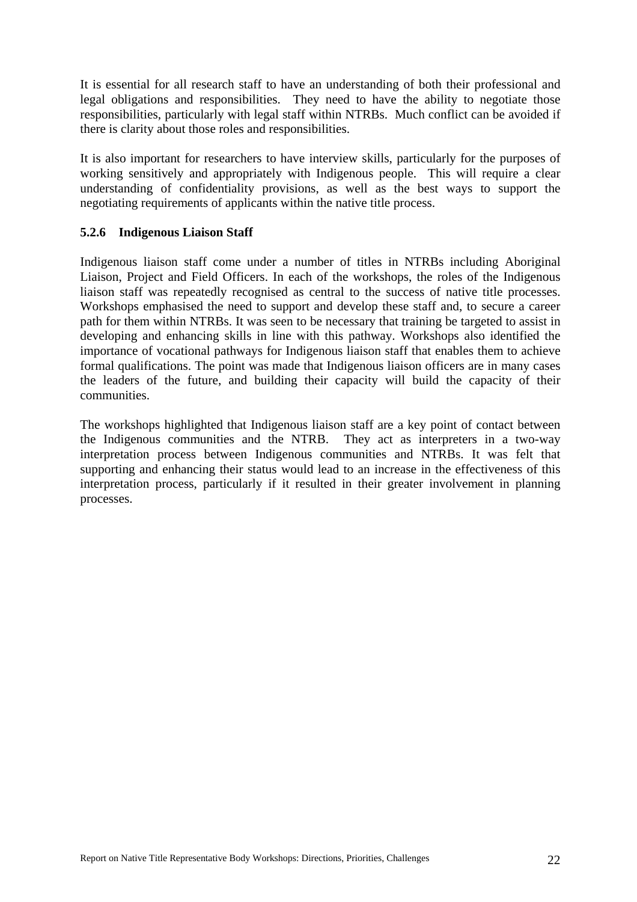<span id="page-32-0"></span>It is essential for all research staff to have an understanding of both their professional and legal obligations and responsibilities. They need to have the ability to negotiate those responsibilities, particularly with legal staff within NTRBs. Much conflict can be avoided if there is clarity about those roles and responsibilities.

It is also important for researchers to have interview skills, particularly for the purposes of working sensitively and appropriately with Indigenous people. This will require a clear understanding of confidentiality provisions, as well as the best ways to support the negotiating requirements of applicants within the native title process.

## **5.2.6 Indigenous Liaison Staff**

Indigenous liaison staff come under a number of titles in NTRBs including Aboriginal Liaison, Project and Field Officers. In each of the workshops, the roles of the Indigenous liaison staff was repeatedly recognised as central to the success of native title processes. Workshops emphasised the need to support and develop these staff and, to secure a career path for them within NTRBs. It was seen to be necessary that training be targeted to assist in developing and enhancing skills in line with this pathway. Workshops also identified the importance of vocational pathways for Indigenous liaison staff that enables them to achieve formal qualifications. The point was made that Indigenous liaison officers are in many cases the leaders of the future, and building their capacity will build the capacity of their communities.

The workshops highlighted that Indigenous liaison staff are a key point of contact between the Indigenous communities and the NTRB. They act as interpreters in a two-way interpretation process between Indigenous communities and NTRBs. It was felt that supporting and enhancing their status would lead to an increase in the effectiveness of this interpretation process, particularly if it resulted in their greater involvement in planning processes.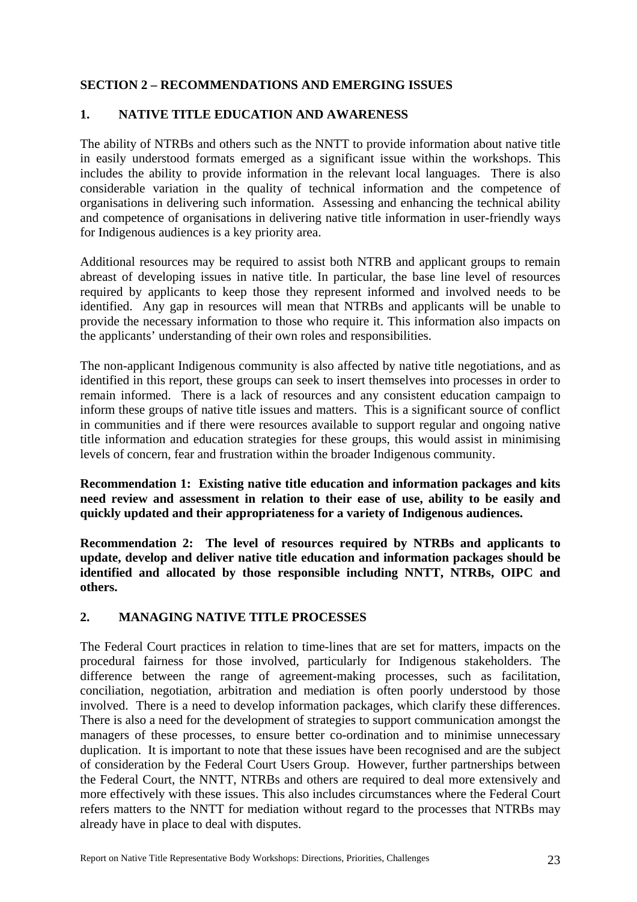## <span id="page-33-0"></span>**SECTION 2 – RECOMMENDATIONS AND EMERGING ISSUES**

### **1. NATIVE TITLE EDUCATION AND AWARENESS**

The ability of NTRBs and others such as the NNTT to provide information about native title in easily understood formats emerged as a significant issue within the workshops. This includes the ability to provide information in the relevant local languages. There is also considerable variation in the quality of technical information and the competence of organisations in delivering such information. Assessing and enhancing the technical ability and competence of organisations in delivering native title information in user-friendly ways for Indigenous audiences is a key priority area.

Additional resources may be required to assist both NTRB and applicant groups to remain abreast of developing issues in native title. In particular, the base line level of resources required by applicants to keep those they represent informed and involved needs to be identified. Any gap in resources will mean that NTRBs and applicants will be unable to provide the necessary information to those who require it. This information also impacts on the applicants' understanding of their own roles and responsibilities.

The non-applicant Indigenous community is also affected by native title negotiations, and as identified in this report, these groups can seek to insert themselves into processes in order to remain informed. There is a lack of resources and any consistent education campaign to inform these groups of native title issues and matters. This is a significant source of conflict in communities and if there were resources available to support regular and ongoing native title information and education strategies for these groups, this would assist in minimising levels of concern, fear and frustration within the broader Indigenous community.

**Recommendation 1: Existing native title education and information packages and kits need review and assessment in relation to their ease of use, ability to be easily and quickly updated and their appropriateness for a variety of Indigenous audiences.** 

**Recommendation 2: The level of resources required by NTRBs and applicants to update, develop and deliver native title education and information packages should be identified and allocated by those responsible including NNTT, NTRBs, OIPC and others.** 

## **2. MANAGING NATIVE TITLE PROCESSES**

The Federal Court practices in relation to time-lines that are set for matters, impacts on the procedural fairness for those involved, particularly for Indigenous stakeholders. The difference between the range of agreement-making processes, such as facilitation, conciliation, negotiation, arbitration and mediation is often poorly understood by those involved. There is a need to develop information packages, which clarify these differences. There is also a need for the development of strategies to support communication amongst the managers of these processes, to ensure better co-ordination and to minimise unnecessary duplication. It is important to note that these issues have been recognised and are the subject of consideration by the Federal Court Users Group. However, further partnerships between the Federal Court, the NNTT, NTRBs and others are required to deal more extensively and more effectively with these issues. This also includes circumstances where the Federal Court refers matters to the NNTT for mediation without regard to the processes that NTRBs may already have in place to deal with disputes.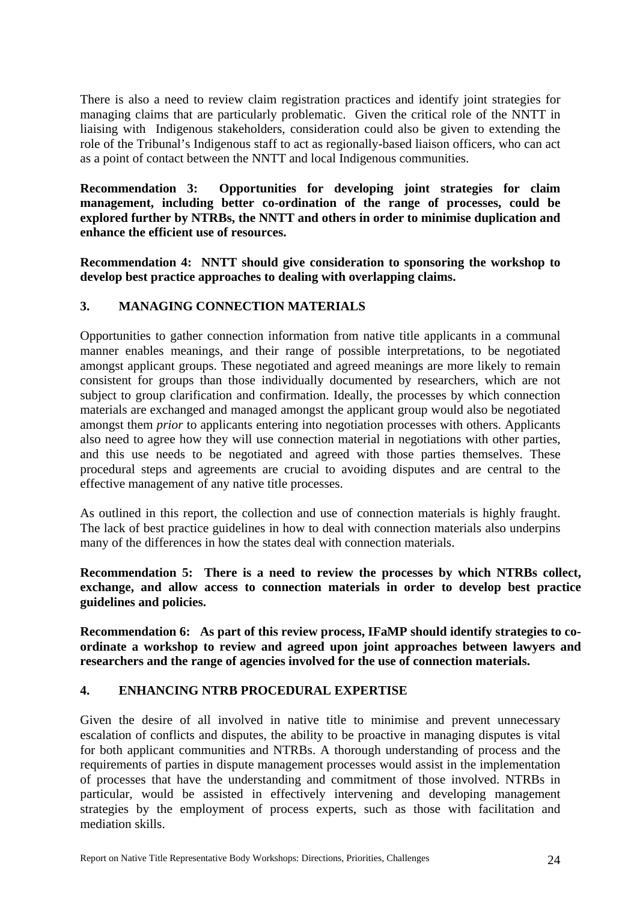<span id="page-34-0"></span>There is also a need to review claim registration practices and identify joint strategies for managing claims that are particularly problematic. Given the critical role of the NNTT in liaising with Indigenous stakeholders, consideration could also be given to extending the role of the Tribunal's Indigenous staff to act as regionally-based liaison officers, who can act as a point of contact between the NNTT and local Indigenous communities.

**Recommendation 3: Opportunities for developing joint strategies for claim management, including better co-ordination of the range of processes, could be explored further by NTRBs, the NNTT and others in order to minimise duplication and enhance the efficient use of resources.** 

**Recommendation 4: NNTT should give consideration to sponsoring the workshop to develop best practice approaches to dealing with overlapping claims.** 

## **3. MANAGING CONNECTION MATERIALS**

Opportunities to gather connection information from native title applicants in a communal manner enables meanings, and their range of possible interpretations, to be negotiated amongst applicant groups. These negotiated and agreed meanings are more likely to remain consistent for groups than those individually documented by researchers, which are not subject to group clarification and confirmation. Ideally, the processes by which connection materials are exchanged and managed amongst the applicant group would also be negotiated amongst them *prior* to applicants entering into negotiation processes with others. Applicants also need to agree how they will use connection material in negotiations with other parties, and this use needs to be negotiated and agreed with those parties themselves. These procedural steps and agreements are crucial to avoiding disputes and are central to the effective management of any native title processes.

As outlined in this report, the collection and use of connection materials is highly fraught. The lack of best practice guidelines in how to deal with connection materials also underpins many of the differences in how the states deal with connection materials.

**Recommendation 5: There is a need to review the processes by which NTRBs collect, exchange, and allow access to connection materials in order to develop best practice guidelines and policies.**

**Recommendation 6: As part of this review process, IFaMP should identify strategies to coordinate a workshop to review and agreed upon joint approaches between lawyers and researchers and the range of agencies involved for the use of connection materials.** 

## **4. ENHANCING NTRB PROCEDURAL EXPERTISE**

Given the desire of all involved in native title to minimise and prevent unnecessary escalation of conflicts and disputes, the ability to be proactive in managing disputes is vital for both applicant communities and NTRBs. A thorough understanding of process and the requirements of parties in dispute management processes would assist in the implementation of processes that have the understanding and commitment of those involved. NTRBs in particular, would be assisted in effectively intervening and developing management strategies by the employment of process experts, such as those with facilitation and mediation skills.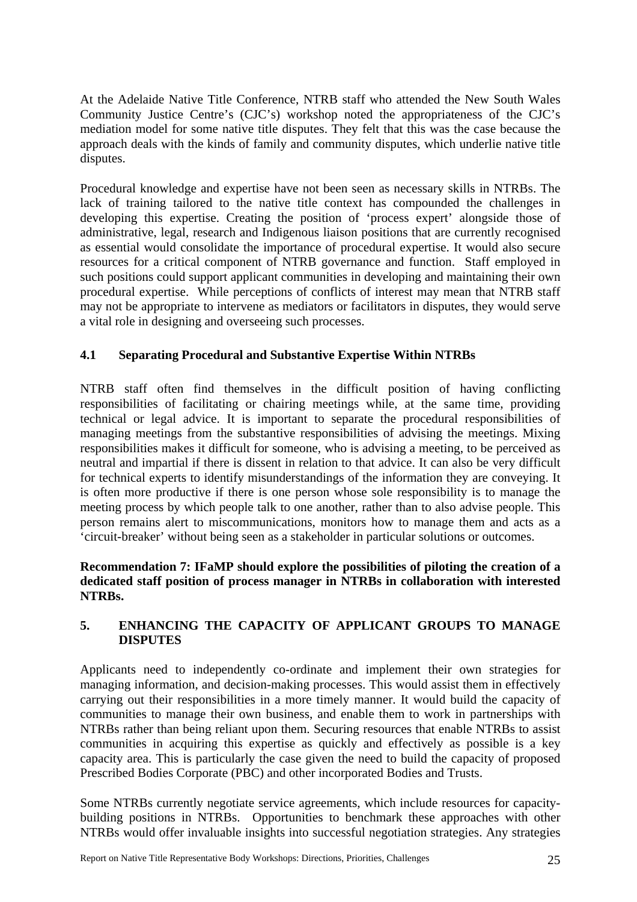<span id="page-35-0"></span>At the Adelaide Native Title Conference, NTRB staff who attended the New South Wales Community Justice Centre's (CJC's) workshop noted the appropriateness of the CJC's mediation model for some native title disputes. They felt that this was the case because the approach deals with the kinds of family and community disputes, which underlie native title disputes.

Procedural knowledge and expertise have not been seen as necessary skills in NTRBs. The lack of training tailored to the native title context has compounded the challenges in developing this expertise. Creating the position of 'process expert' alongside those of administrative, legal, research and Indigenous liaison positions that are currently recognised as essential would consolidate the importance of procedural expertise. It would also secure resources for a critical component of NTRB governance and function. Staff employed in such positions could support applicant communities in developing and maintaining their own procedural expertise. While perceptions of conflicts of interest may mean that NTRB staff may not be appropriate to intervene as mediators or facilitators in disputes, they would serve a vital role in designing and overseeing such processes.

## **4.1 Separating Procedural and Substantive Expertise Within NTRBs**

NTRB staff often find themselves in the difficult position of having conflicting responsibilities of facilitating or chairing meetings while, at the same time, providing technical or legal advice. It is important to separate the procedural responsibilities of managing meetings from the substantive responsibilities of advising the meetings. Mixing responsibilities makes it difficult for someone, who is advising a meeting, to be perceived as neutral and impartial if there is dissent in relation to that advice. It can also be very difficult for technical experts to identify misunderstandings of the information they are conveying. It is often more productive if there is one person whose sole responsibility is to manage the meeting process by which people talk to one another, rather than to also advise people. This person remains alert to miscommunications, monitors how to manage them and acts as a 'circuit-breaker' without being seen as a stakeholder in particular solutions or outcomes.

### **Recommendation 7: IFaMP should explore the possibilities of piloting the creation of a dedicated staff position of process manager in NTRBs in collaboration with interested NTRBs.**

## **5. ENHANCING THE CAPACITY OF APPLICANT GROUPS TO MANAGE DISPUTES**

Applicants need to independently co-ordinate and implement their own strategies for managing information, and decision-making processes. This would assist them in effectively carrying out their responsibilities in a more timely manner. It would build the capacity of communities to manage their own business, and enable them to work in partnerships with NTRBs rather than being reliant upon them. Securing resources that enable NTRBs to assist communities in acquiring this expertise as quickly and effectively as possible is a key capacity area. This is particularly the case given the need to build the capacity of proposed Prescribed Bodies Corporate (PBC) and other incorporated Bodies and Trusts.

Some NTRBs currently negotiate service agreements, which include resources for capacitybuilding positions in NTRBs. Opportunities to benchmark these approaches with other NTRBs would offer invaluable insights into successful negotiation strategies. Any strategies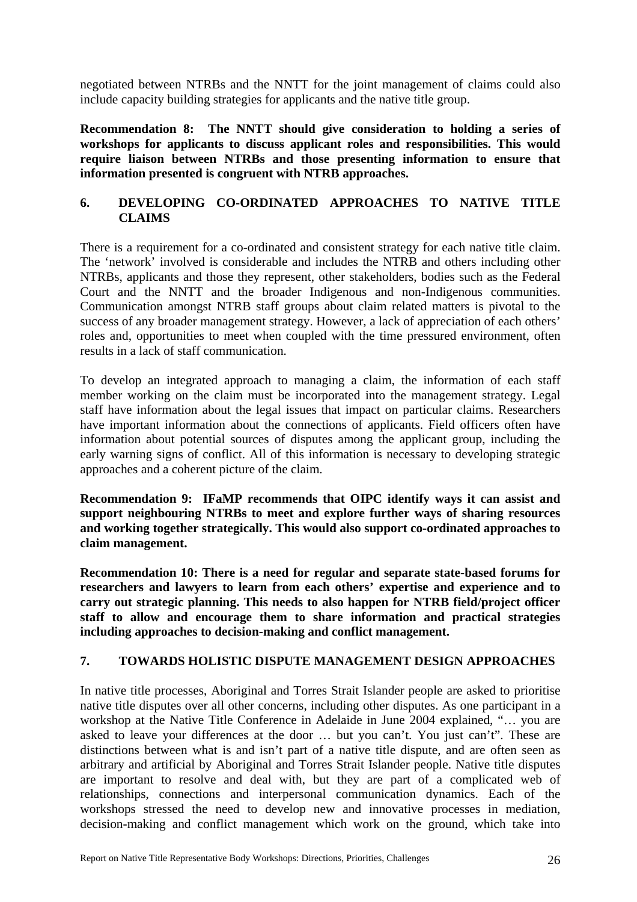<span id="page-36-0"></span>negotiated between NTRBs and the NNTT for the joint management of claims could also include capacity building strategies for applicants and the native title group.

**Recommendation 8: The NNTT should give consideration to holding a series of workshops for applicants to discuss applicant roles and responsibilities. This would require liaison between NTRBs and those presenting information to ensure that information presented is congruent with NTRB approaches.** 

## **6. DEVELOPING CO-ORDINATED APPROACHES TO NATIVE TITLE CLAIMS**

There is a requirement for a co-ordinated and consistent strategy for each native title claim. The 'network' involved is considerable and includes the NTRB and others including other NTRBs, applicants and those they represent, other stakeholders, bodies such as the Federal Court and the NNTT and the broader Indigenous and non-Indigenous communities. Communication amongst NTRB staff groups about claim related matters is pivotal to the success of any broader management strategy. However, a lack of appreciation of each others' roles and, opportunities to meet when coupled with the time pressured environment, often results in a lack of staff communication.

To develop an integrated approach to managing a claim, the information of each staff member working on the claim must be incorporated into the management strategy. Legal staff have information about the legal issues that impact on particular claims. Researchers have important information about the connections of applicants. Field officers often have information about potential sources of disputes among the applicant group, including the early warning signs of conflict. All of this information is necessary to developing strategic approaches and a coherent picture of the claim.

**Recommendation 9: IFaMP recommends that OIPC identify ways it can assist and support neighbouring NTRBs to meet and explore further ways of sharing resources and working together strategically. This would also support co-ordinated approaches to claim management.** 

**Recommendation 10: There is a need for regular and separate state-based forums for researchers and lawyers to learn from each others' expertise and experience and to carry out strategic planning. This needs to also happen for NTRB field/project officer staff to allow and encourage them to share information and practical strategies including approaches to decision-making and conflict management.** 

## **7. TOWARDS HOLISTIC DISPUTE MANAGEMENT DESIGN APPROACHES**

In native title processes, Aboriginal and Torres Strait Islander people are asked to prioritise native title disputes over all other concerns, including other disputes. As one participant in a workshop at the Native Title Conference in Adelaide in June 2004 explained, "… you are asked to leave your differences at the door … but you can't. You just can't". These are distinctions between what is and isn't part of a native title dispute, and are often seen as arbitrary and artificial by Aboriginal and Torres Strait Islander people. Native title disputes are important to resolve and deal with, but they are part of a complicated web of relationships, connections and interpersonal communication dynamics. Each of the workshops stressed the need to develop new and innovative processes in mediation, decision-making and conflict management which work on the ground, which take into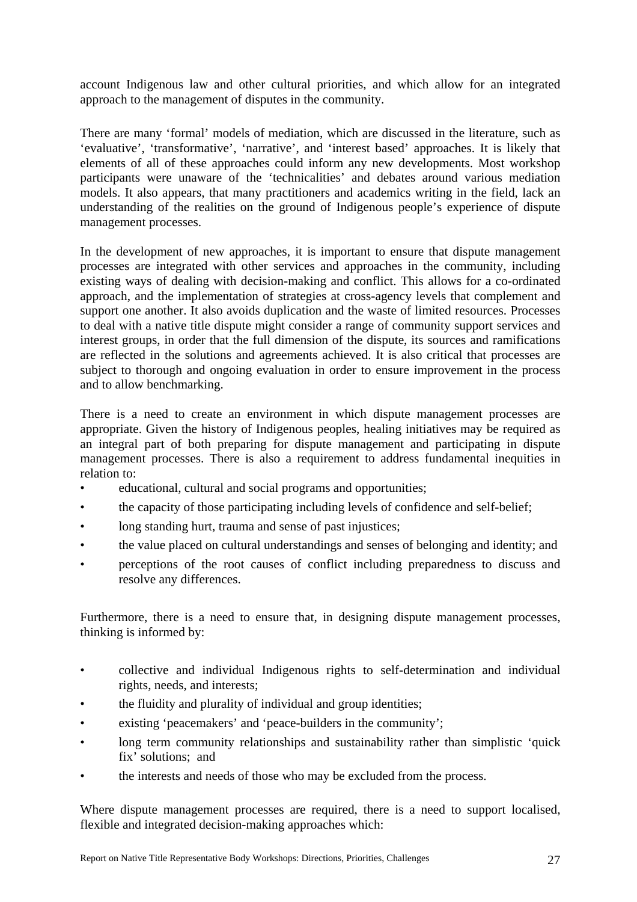account Indigenous law and other cultural priorities, and which allow for an integrated approach to the management of disputes in the community.

There are many 'formal' models of mediation, which are discussed in the literature, such as 'evaluative', 'transformative', 'narrative', and 'interest based' approaches. It is likely that elements of all of these approaches could inform any new developments. Most workshop participants were unaware of the 'technicalities' and debates around various mediation models. It also appears, that many practitioners and academics writing in the field, lack an understanding of the realities on the ground of Indigenous people's experience of dispute management processes.

In the development of new approaches, it is important to ensure that dispute management processes are integrated with other services and approaches in the community, including existing ways of dealing with decision-making and conflict. This allows for a co-ordinated approach, and the implementation of strategies at cross-agency levels that complement and support one another. It also avoids duplication and the waste of limited resources. Processes to deal with a native title dispute might consider a range of community support services and interest groups, in order that the full dimension of the dispute, its sources and ramifications are reflected in the solutions and agreements achieved. It is also critical that processes are subject to thorough and ongoing evaluation in order to ensure improvement in the process and to allow benchmarking.

There is a need to create an environment in which dispute management processes are appropriate. Given the history of Indigenous peoples, healing initiatives may be required as an integral part of both preparing for dispute management and participating in dispute management processes. There is also a requirement to address fundamental inequities in relation to:

- educational, cultural and social programs and opportunities;
- the capacity of those participating including levels of confidence and self-belief;
- long standing hurt, trauma and sense of past injustices;
- the value placed on cultural understandings and senses of belonging and identity; and
- perceptions of the root causes of conflict including preparedness to discuss and resolve any differences.

Furthermore, there is a need to ensure that, in designing dispute management processes, thinking is informed by:

- collective and individual Indigenous rights to self-determination and individual rights, needs, and interests;
- the fluidity and plurality of individual and group identities;
- existing 'peacemakers' and 'peace-builders in the community';
- long term community relationships and sustainability rather than simplistic 'quick fix' solutions; and
- the interests and needs of those who may be excluded from the process.

Where dispute management processes are required, there is a need to support localised, flexible and integrated decision-making approaches which: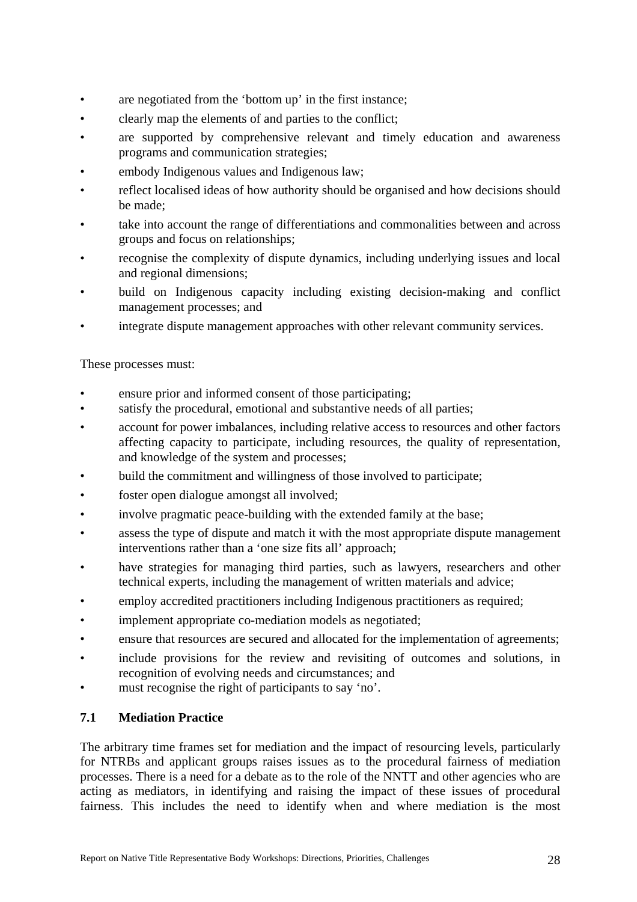- <span id="page-38-0"></span>are negotiated from the 'bottom up' in the first instance;
- clearly map the elements of and parties to the conflict;
- are supported by comprehensive relevant and timely education and awareness programs and communication strategies;
- embody Indigenous values and Indigenous law;
- reflect localised ideas of how authority should be organised and how decisions should be made;
- take into account the range of differentiations and commonalities between and across groups and focus on relationships;
- recognise the complexity of dispute dynamics, including underlying issues and local and regional dimensions;
- build on Indigenous capacity including existing decision-making and conflict management processes; and
- integrate dispute management approaches with other relevant community services.

These processes must:

- ensure prior and informed consent of those participating:
- satisfy the procedural, emotional and substantive needs of all parties;
- account for power imbalances, including relative access to resources and other factors affecting capacity to participate, including resources, the quality of representation, and knowledge of the system and processes;
- build the commitment and willingness of those involved to participate;
- foster open dialogue amongst all involved;
- involve pragmatic peace-building with the extended family at the base;
- assess the type of dispute and match it with the most appropriate dispute management interventions rather than a 'one size fits all' approach;
- have strategies for managing third parties, such as lawyers, researchers and other technical experts, including the management of written materials and advice;
- employ accredited practitioners including Indigenous practitioners as required;
- implement appropriate co-mediation models as negotiated;
- ensure that resources are secured and allocated for the implementation of agreements;
- include provisions for the review and revisiting of outcomes and solutions, in recognition of evolving needs and circumstances; and
- must recognise the right of participants to say 'no'.

## **7.1 Mediation Practice**

The arbitrary time frames set for mediation and the impact of resourcing levels, particularly for NTRBs and applicant groups raises issues as to the procedural fairness of mediation processes. There is a need for a debate as to the role of the NNTT and other agencies who are acting as mediators, in identifying and raising the impact of these issues of procedural fairness. This includes the need to identify when and where mediation is the most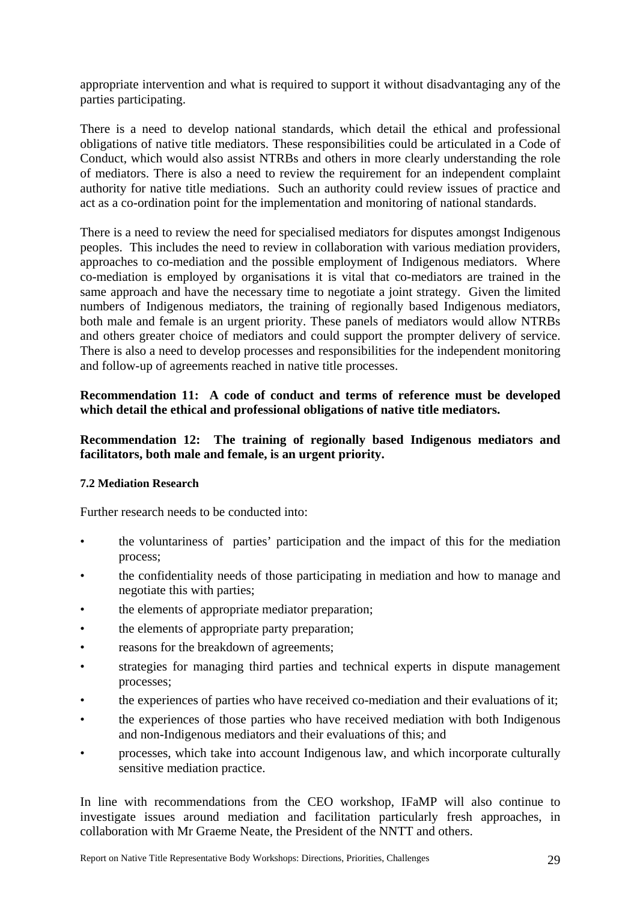<span id="page-39-0"></span>appropriate intervention and what is required to support it without disadvantaging any of the parties participating.

There is a need to develop national standards, which detail the ethical and professional obligations of native title mediators. These responsibilities could be articulated in a Code of Conduct, which would also assist NTRBs and others in more clearly understanding the role of mediators. There is also a need to review the requirement for an independent complaint authority for native title mediations. Such an authority could review issues of practice and act as a co-ordination point for the implementation and monitoring of national standards.

There is a need to review the need for specialised mediators for disputes amongst Indigenous peoples. This includes the need to review in collaboration with various mediation providers, approaches to co-mediation and the possible employment of Indigenous mediators. Where co-mediation is employed by organisations it is vital that co-mediators are trained in the same approach and have the necessary time to negotiate a joint strategy. Given the limited numbers of Indigenous mediators, the training of regionally based Indigenous mediators, both male and female is an urgent priority. These panels of mediators would allow NTRBs and others greater choice of mediators and could support the prompter delivery of service. There is also a need to develop processes and responsibilities for the independent monitoring and follow-up of agreements reached in native title processes.

### **Recommendation 11: A code of conduct and terms of reference must be developed which detail the ethical and professional obligations of native title mediators.**

### **Recommendation 12: The training of regionally based Indigenous mediators and facilitators, both male and female, is an urgent priority.**

#### **7.2 Mediation Research**

Further research needs to be conducted into:

- the voluntariness of parties' participation and the impact of this for the mediation process;
- the confidentiality needs of those participating in mediation and how to manage and negotiate this with parties;
- the elements of appropriate mediator preparation;
- the elements of appropriate party preparation;
- reasons for the breakdown of agreements;
- strategies for managing third parties and technical experts in dispute management processes;
- the experiences of parties who have received co-mediation and their evaluations of it;
- the experiences of those parties who have received mediation with both Indigenous and non-Indigenous mediators and their evaluations of this; and
- processes, which take into account Indigenous law, and which incorporate culturally sensitive mediation practice.

In line with recommendations from the CEO workshop, IFaMP will also continue to investigate issues around mediation and facilitation particularly fresh approaches, in collaboration with Mr Graeme Neate, the President of the NNTT and others.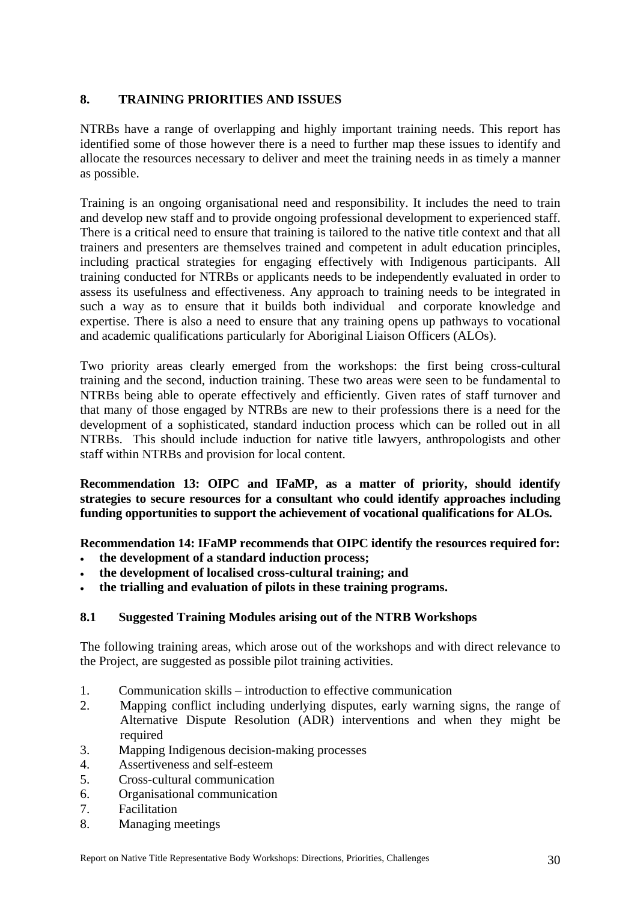## <span id="page-40-0"></span>**8. TRAINING PRIORITIES AND ISSUES**

NTRBs have a range of overlapping and highly important training needs. This report has identified some of those however there is a need to further map these issues to identify and allocate the resources necessary to deliver and meet the training needs in as timely a manner as possible.

Training is an ongoing organisational need and responsibility. It includes the need to train and develop new staff and to provide ongoing professional development to experienced staff. There is a critical need to ensure that training is tailored to the native title context and that all trainers and presenters are themselves trained and competent in adult education principles, including practical strategies for engaging effectively with Indigenous participants. All training conducted for NTRBs or applicants needs to be independently evaluated in order to assess its usefulness and effectiveness. Any approach to training needs to be integrated in such a way as to ensure that it builds both individual and corporate knowledge and expertise. There is also a need to ensure that any training opens up pathways to vocational and academic qualifications particularly for Aboriginal Liaison Officers (ALOs).

Two priority areas clearly emerged from the workshops: the first being cross-cultural training and the second, induction training. These two areas were seen to be fundamental to NTRBs being able to operate effectively and efficiently. Given rates of staff turnover and that many of those engaged by NTRBs are new to their professions there is a need for the development of a sophisticated, standard induction process which can be rolled out in all NTRBs. This should include induction for native title lawyers, anthropologists and other staff within NTRBs and provision for local content.

**Recommendation 13: OIPC and IFaMP, as a matter of priority, should identify strategies to secure resources for a consultant who could identify approaches including funding opportunities to support the achievement of vocational qualifications for ALOs.** 

**Recommendation 14: IFaMP recommends that OIPC identify the resources required for:** 

- **the development of a standard induction process;**
- **the development of localised cross-cultural training; and**
- **the trialling and evaluation of pilots in these training programs.**

## **8.1 Suggested Training Modules arising out of the NTRB Workshops**

The following training areas, which arose out of the workshops and with direct relevance to the Project, are suggested as possible pilot training activities.

- 1. Communication skills introduction to effective communication
- 2. Mapping conflict including underlying disputes, early warning signs, the range of Alternative Dispute Resolution (ADR) interventions and when they might be required
- 3. Mapping Indigenous decision-making processes
- 4. Assertiveness and self-esteem
- 5. Cross-cultural communication
- 6. Organisational communication
- 7. Facilitation
- 8. Managing meetings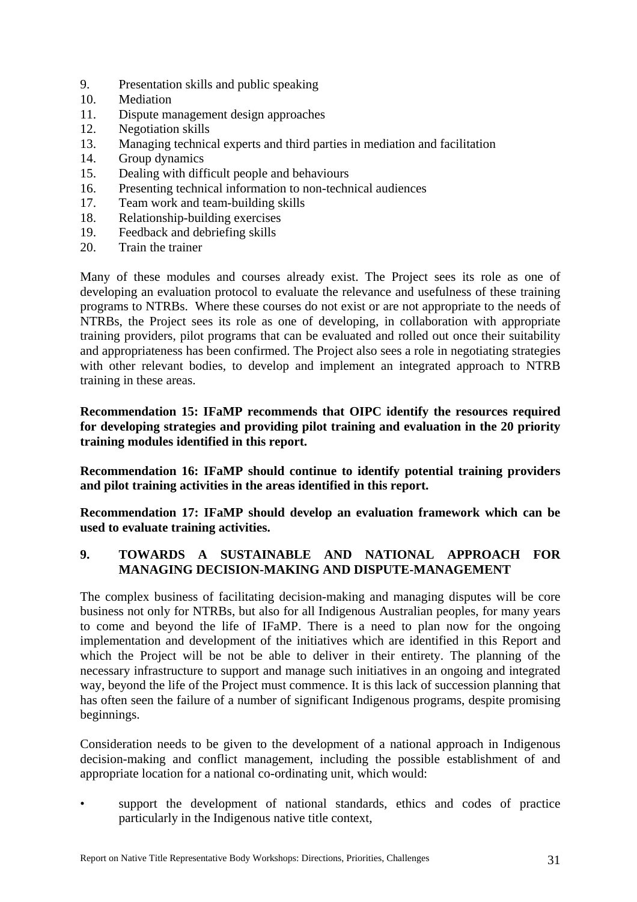- <span id="page-41-0"></span>9. Presentation skills and public speaking
- 10. Mediation
- 11. Dispute management design approaches
- 12. Negotiation skills
- 13. Managing technical experts and third parties in mediation and facilitation
- 14. Group dynamics
- 15. Dealing with difficult people and behaviours
- 16. Presenting technical information to non-technical audiences
- 17. Team work and team-building skills
- 18. Relationship-building exercises
- 19. Feedback and debriefing skills
- 20. Train the trainer

Many of these modules and courses already exist. The Project sees its role as one of developing an evaluation protocol to evaluate the relevance and usefulness of these training programs to NTRBs. Where these courses do not exist or are not appropriate to the needs of NTRBs, the Project sees its role as one of developing, in collaboration with appropriate training providers, pilot programs that can be evaluated and rolled out once their suitability and appropriateness has been confirmed. The Project also sees a role in negotiating strategies with other relevant bodies, to develop and implement an integrated approach to NTRB training in these areas.

**Recommendation 15: IFaMP recommends that OIPC identify the resources required for developing strategies and providing pilot training and evaluation in the 20 priority training modules identified in this report.** 

**Recommendation 16: IFaMP should continue to identify potential training providers and pilot training activities in the areas identified in this report.** 

**Recommendation 17: IFaMP should develop an evaluation framework which can be used to evaluate training activities.**

## **9. TOWARDS A SUSTAINABLE AND NATIONAL APPROACH FOR MANAGING DECISION-MAKING AND DISPUTE-MANAGEMENT**

The complex business of facilitating decision-making and managing disputes will be core business not only for NTRBs, but also for all Indigenous Australian peoples, for many years to come and beyond the life of IFaMP. There is a need to plan now for the ongoing implementation and development of the initiatives which are identified in this Report and which the Project will be not be able to deliver in their entirety. The planning of the necessary infrastructure to support and manage such initiatives in an ongoing and integrated way, beyond the life of the Project must commence. It is this lack of succession planning that has often seen the failure of a number of significant Indigenous programs, despite promising beginnings.

Consideration needs to be given to the development of a national approach in Indigenous decision-making and conflict management, including the possible establishment of and appropriate location for a national co-ordinating unit, which would:

support the development of national standards, ethics and codes of practice particularly in the Indigenous native title context,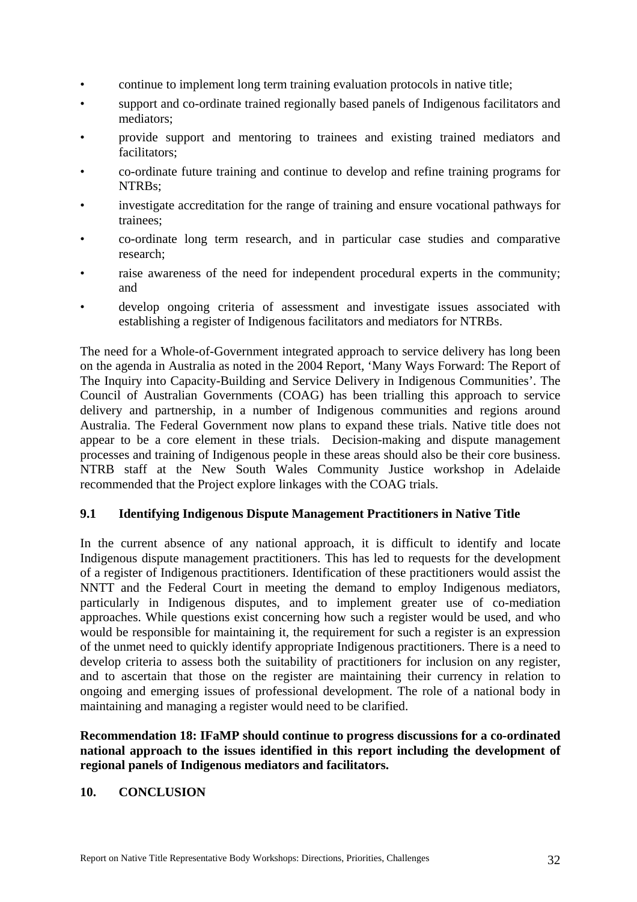- <span id="page-42-0"></span>• continue to implement long term training evaluation protocols in native title;
- support and co-ordinate trained regionally based panels of Indigenous facilitators and mediators;
- provide support and mentoring to trainees and existing trained mediators and facilitators;
- co-ordinate future training and continue to develop and refine training programs for NTRBs;
- investigate accreditation for the range of training and ensure vocational pathways for trainees;
- co-ordinate long term research, and in particular case studies and comparative research;
- raise awareness of the need for independent procedural experts in the community; and
- develop ongoing criteria of assessment and investigate issues associated with establishing a register of Indigenous facilitators and mediators for NTRBs.

The need for a Whole-of-Government integrated approach to service delivery has long been on the agenda in Australia as noted in the 2004 Report, 'Many Ways Forward: The Report of The Inquiry into Capacity-Building and Service Delivery in Indigenous Communities'. The Council of Australian Governments (COAG) has been trialling this approach to service delivery and partnership, in a number of Indigenous communities and regions around Australia. The Federal Government now plans to expand these trials. Native title does not appear to be a core element in these trials. Decision-making and dispute management processes and training of Indigenous people in these areas should also be their core business. NTRB staff at the New South Wales Community Justice workshop in Adelaide recommended that the Project explore linkages with the COAG trials.

## **9.1 Identifying Indigenous Dispute Management Practitioners in Native Title**

In the current absence of any national approach, it is difficult to identify and locate Indigenous dispute management practitioners. This has led to requests for the development of a register of Indigenous practitioners. Identification of these practitioners would assist the NNTT and the Federal Court in meeting the demand to employ Indigenous mediators, particularly in Indigenous disputes, and to implement greater use of co-mediation approaches. While questions exist concerning how such a register would be used, and who would be responsible for maintaining it, the requirement for such a register is an expression of the unmet need to quickly identify appropriate Indigenous practitioners. There is a need to develop criteria to assess both the suitability of practitioners for inclusion on any register, and to ascertain that those on the register are maintaining their currency in relation to ongoing and emerging issues of professional development. The role of a national body in maintaining and managing a register would need to be clarified.

**Recommendation 18: IFaMP should continue to progress discussions for a co-ordinated national approach to the issues identified in this report including the development of regional panels of Indigenous mediators and facilitators.** 

### **10. CONCLUSION**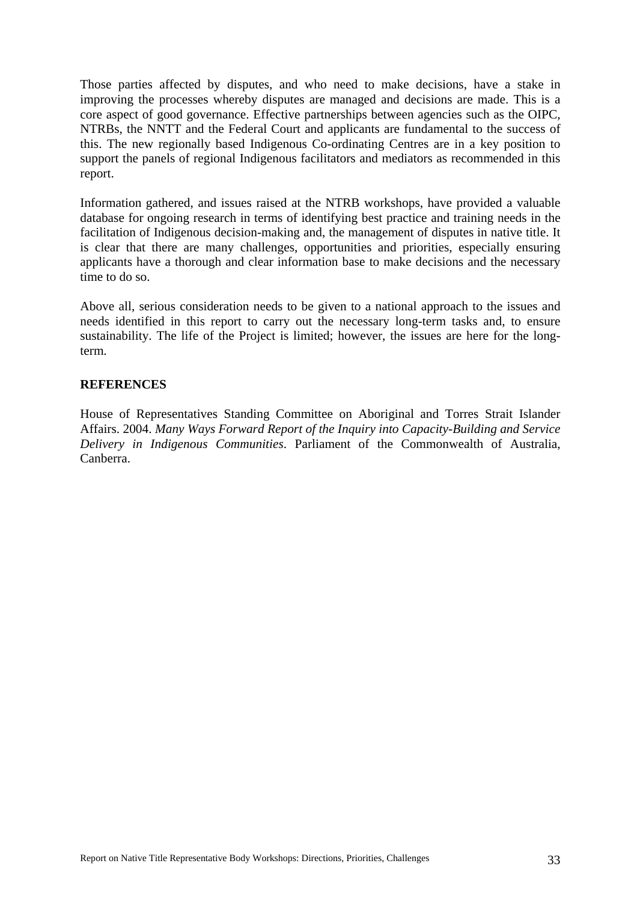<span id="page-43-0"></span>Those parties affected by disputes, and who need to make decisions, have a stake in improving the processes whereby disputes are managed and decisions are made. This is a core aspect of good governance. Effective partnerships between agencies such as the OIPC, NTRBs, the NNTT and the Federal Court and applicants are fundamental to the success of this. The new regionally based Indigenous Co-ordinating Centres are in a key position to support the panels of regional Indigenous facilitators and mediators as recommended in this report.

Information gathered, and issues raised at the NTRB workshops, have provided a valuable database for ongoing research in terms of identifying best practice and training needs in the facilitation of Indigenous decision-making and, the management of disputes in native title. It is clear that there are many challenges, opportunities and priorities, especially ensuring applicants have a thorough and clear information base to make decisions and the necessary time to do so.

Above all, serious consideration needs to be given to a national approach to the issues and needs identified in this report to carry out the necessary long-term tasks and, to ensure sustainability. The life of the Project is limited; however, the issues are here for the longterm.

#### **REFERENCES**

House of Representatives Standing Committee on Aboriginal and Torres Strait Islander Affairs. 2004. *Many Ways Forward Report of the Inquiry into Capacity-Building and Service Delivery in Indigenous Communities*. Parliament of the Commonwealth of Australia, Canberra.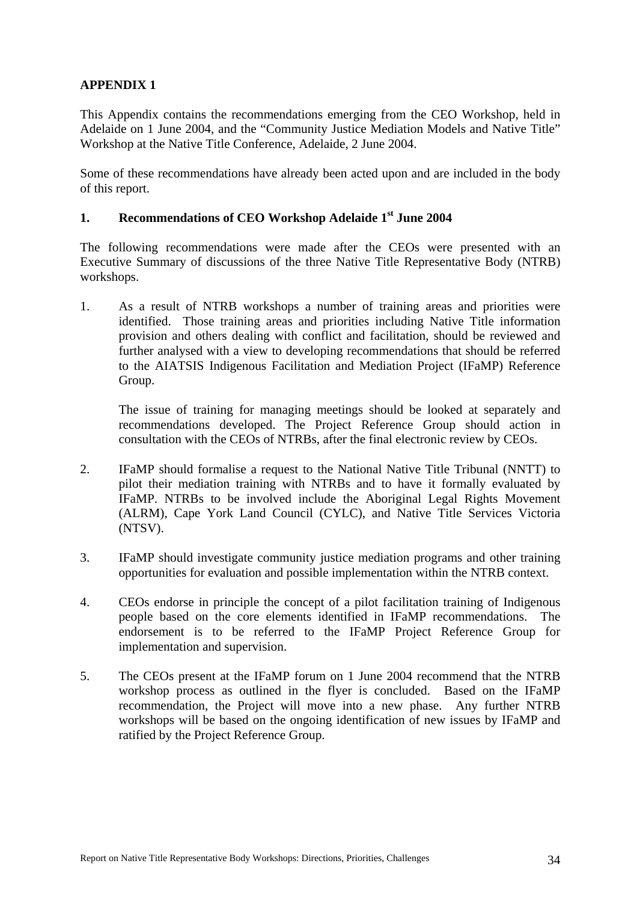## <span id="page-44-0"></span>**APPENDIX 1**

This Appendix contains the recommendations emerging from the CEO Workshop, held in Adelaide on 1 June 2004, and the "Community Justice Mediation Models and Native Title" Workshop at the Native Title Conference, Adelaide, 2 June 2004.

Some of these recommendations have already been acted upon and are included in the body of this report.

### **1. Recommendations of CEO Workshop Adelaide 1st June 2004**

The following recommendations were made after the CEOs were presented with an Executive Summary of discussions of the three Native Title Representative Body (NTRB) workshops.

1. As a result of NTRB workshops a number of training areas and priorities were identified. Those training areas and priorities including Native Title information provision and others dealing with conflict and facilitation, should be reviewed and further analysed with a view to developing recommendations that should be referred to the AIATSIS Indigenous Facilitation and Mediation Project (IFaMP) Reference Group.

The issue of training for managing meetings should be looked at separately and recommendations developed. The Project Reference Group should action in consultation with the CEOs of NTRBs, after the final electronic review by CEOs.

- 2. IFaMP should formalise a request to the National Native Title Tribunal (NNTT) to pilot their mediation training with NTRBs and to have it formally evaluated by IFaMP. NTRBs to be involved include the Aboriginal Legal Rights Movement (ALRM), Cape York Land Council (CYLC), and Native Title Services Victoria (NTSV).
- 3. IFaMP should investigate community justice mediation programs and other training opportunities for evaluation and possible implementation within the NTRB context.
- 4. CEOs endorse in principle the concept of a pilot facilitation training of Indigenous people based on the core elements identified in IFaMP recommendations. The endorsement is to be referred to the IFaMP Project Reference Group for implementation and supervision.
- 5. The CEOs present at the IFaMP forum on 1 June 2004 recommend that the NTRB workshop process as outlined in the flyer is concluded. Based on the IFaMP recommendation, the Project will move into a new phase. Any further NTRB workshops will be based on the ongoing identification of new issues by IFaMP and ratified by the Project Reference Group.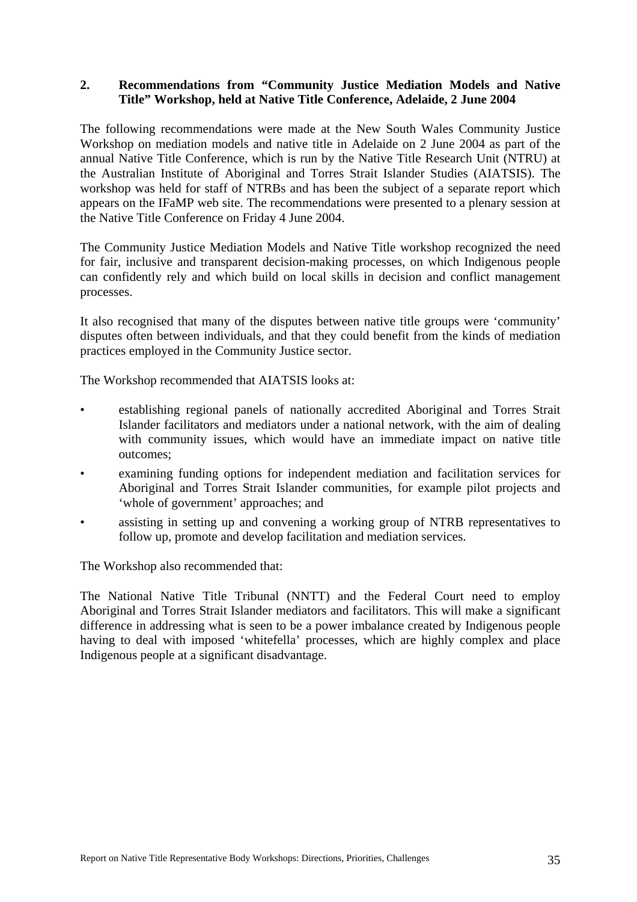### <span id="page-45-0"></span>**2. Recommendations from "Community Justice Mediation Models and Native Title" Workshop, held at Native Title Conference, Adelaide, 2 June 2004**

The following recommendations were made at the New South Wales Community Justice Workshop on mediation models and native title in Adelaide on 2 June 2004 as part of the annual Native Title Conference, which is run by the Native Title Research Unit (NTRU) at the Australian Institute of Aboriginal and Torres Strait Islander Studies (AIATSIS). The workshop was held for staff of NTRBs and has been the subject of a separate report which appears on the IFaMP web site. The recommendations were presented to a plenary session at the Native Title Conference on Friday 4 June 2004.

The Community Justice Mediation Models and Native Title workshop recognized the need for fair, inclusive and transparent decision-making processes, on which Indigenous people can confidently rely and which build on local skills in decision and conflict management processes.

It also recognised that many of the disputes between native title groups were 'community' disputes often between individuals, and that they could benefit from the kinds of mediation practices employed in the Community Justice sector.

The Workshop recommended that AIATSIS looks at:

- establishing regional panels of nationally accredited Aboriginal and Torres Strait Islander facilitators and mediators under a national network, with the aim of dealing with community issues, which would have an immediate impact on native title outcomes;
- examining funding options for independent mediation and facilitation services for Aboriginal and Torres Strait Islander communities, for example pilot projects and 'whole of government' approaches; and
- assisting in setting up and convening a working group of NTRB representatives to follow up, promote and develop facilitation and mediation services.

The Workshop also recommended that:

The National Native Title Tribunal (NNTT) and the Federal Court need to employ Aboriginal and Torres Strait Islander mediators and facilitators. This will make a significant difference in addressing what is seen to be a power imbalance created by Indigenous people having to deal with imposed 'whitefella' processes, which are highly complex and place Indigenous people at a significant disadvantage.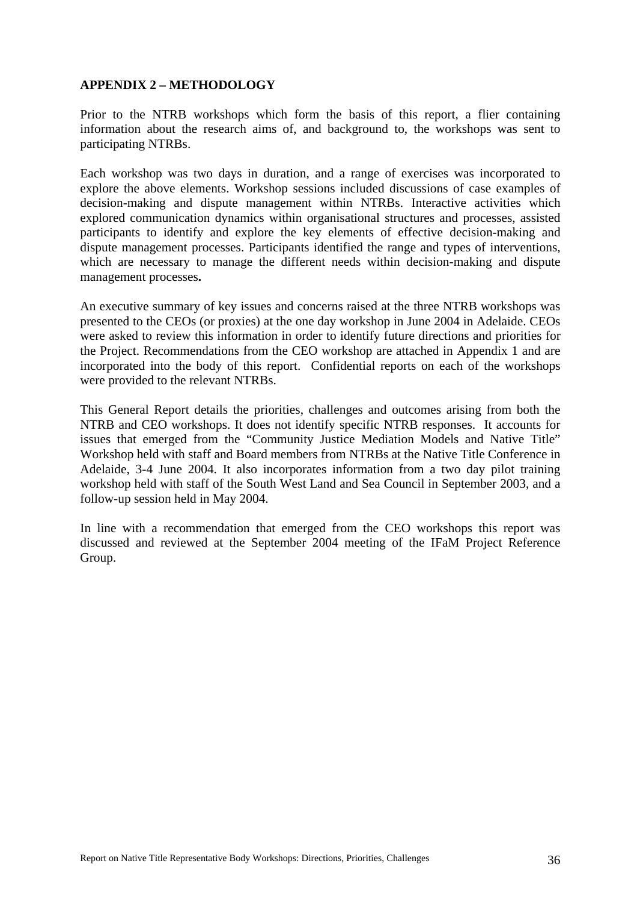### <span id="page-46-0"></span>**APPENDIX 2 – METHODOLOGY**

Prior to the NTRB workshops which form the basis of this report, a flier containing information about the research aims of, and background to, the workshops was sent to participating NTRBs.

Each workshop was two days in duration, and a range of exercises was incorporated to explore the above elements. Workshop sessions included discussions of case examples of decision-making and dispute management within NTRBs. Interactive activities which explored communication dynamics within organisational structures and processes, assisted participants to identify and explore the key elements of effective decision-making and dispute management processes. Participants identified the range and types of interventions, which are necessary to manage the different needs within decision-making and dispute management processes**.**

An executive summary of key issues and concerns raised at the three NTRB workshops was presented to the CEOs (or proxies) at the one day workshop in June 2004 in Adelaide. CEOs were asked to review this information in order to identify future directions and priorities for the Project. Recommendations from the CEO workshop are attached in Appendix 1 and are incorporated into the body of this report. Confidential reports on each of the workshops were provided to the relevant NTRBs.

This General Report details the priorities, challenges and outcomes arising from both the NTRB and CEO workshops. It does not identify specific NTRB responses. It accounts for issues that emerged from the "Community Justice Mediation Models and Native Title" Workshop held with staff and Board members from NTRBs at the Native Title Conference in Adelaide, 3-4 June 2004. It also incorporates information from a two day pilot training workshop held with staff of the South West Land and Sea Council in September 2003, and a follow-up session held in May 2004.

In line with a recommendation that emerged from the CEO workshops this report was discussed and reviewed at the September 2004 meeting of the IFaM Project Reference Group.